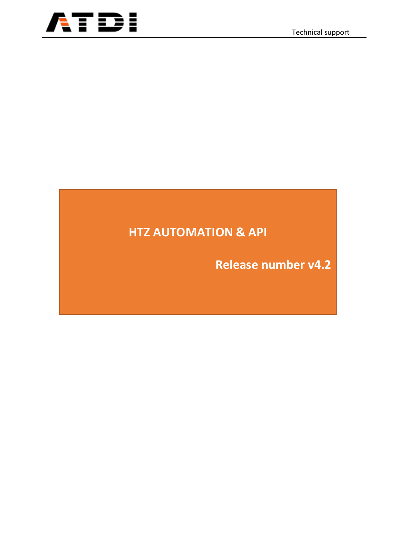

# **HTZ AUTOMATION & API**

**Release number v4.2**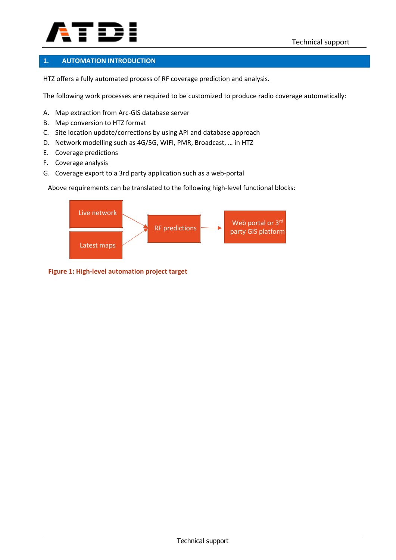

### **1. AUTOMATION INTRODUCTION**

HTZ offers a fully automated process of RF coverage prediction and analysis.

The following work processes are required to be customized to produce radio coverage automatically:

- A. Map extraction from Arc-GIS database server
- B. Map conversion to HTZ format
- C. Site location update/corrections by using API and database approach
- D. Network modelling such as 4G/5G, WIFI, PMR, Broadcast, … in HTZ
- E. Coverage predictions
- F. Coverage analysis
- G. Coverage export to a 3rd party application such as a web-portal

Above requirements can be translated to the following high-level functional blocks:



 **Figure 1: High-level automation project target**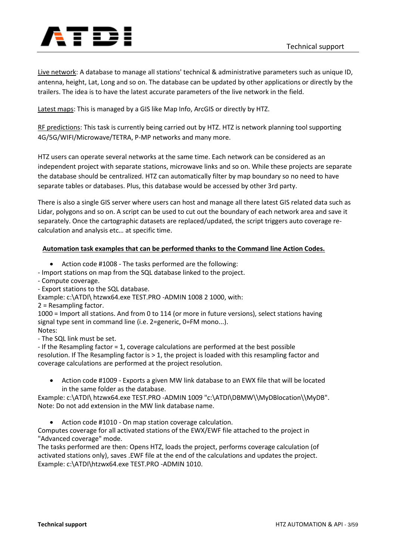

Live network: A database to manage all stations' technical & administrative parameters such as unique ID, antenna, height, Lat, Long and so on. The database can be updated by other applications or directly by the trailers. The idea is to have the latest accurate parameters of the live network in the field.

Latest maps: This is managed by a GIS like Map Info, ArcGIS or directly by HTZ.

RF predictions: This task is currently being carried out by HTZ. HTZ is network planning tool supporting 4G/5G/WIFI/Microwave/TETRA, P-MP networks and many more.

HTZ users can operate several networks at the same time. Each network can be considered as an independent project with separate stations, microwave links and so on. While these projects are separate the database should be centralized. HTZ can automatically filter by map boundary so no need to have separate tables or databases. Plus, this database would be accessed by other 3rd party.

There is also a single GIS server where users can host and manage all there latest GIS related data such as Lidar, polygons and so on. A script can be used to cut out the boundary of each network area and save it separately. Once the cartographic datasets are replaced/updated, the script triggers auto coverage recalculation and analysis etc… at specific time.

### **Automation task examples that can be performed thanks to the Command line Action Codes.**

- Action code #1008 The tasks performed are the following:
- Import stations on map from the SQL database linked to the project.
- Compute coverage.
- Export stations to the SQL database.
- Example: c:\ATDI\ htzwx64.exe TEST.PRO -ADMIN 1008 2 1000, with:
- 2 = Resampling factor.

1000 = Import all stations. And from 0 to 114 (or more in future versions), select stations having signal type sent in command line (i.e. 2=generic, 0=FM mono...).

Notes:

- The SQL link must be set.

- If the Resampling factor = 1, coverage calculations are performed at the best possible resolution. If The Resampling factor is > 1, the project is loaded with this resampling factor and coverage calculations are performed at the project resolution.

• Action code #1009 - Exports a given MW link database to an EWX file that will be located in the same folder as the database.

Example: c:\ATDI\ htzwx64.exe TEST.PRO -ADMIN 1009 "c:\ATDI\DBMW\\MyDBlocation\\MyDB". Note: Do not add extension in the MW link database name.

• Action code #1010 - On map station coverage calculation.

Computes coverage for all activated stations of the EWX/EWF file attached to the project in "Advanced coverage" mode.

The tasks performed are then: Opens HTZ, loads the project, performs coverage calculation (of activated stations only), saves .EWF file at the end of the calculations and updates the project. Example: c:\ATDI\htzwx64.exe TEST.PRO -ADMIN 1010.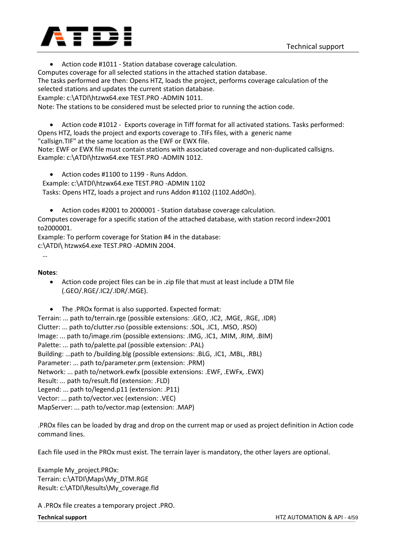

• Action code #1011 - Station database coverage calculation.

Computes coverage for all selected stations in the attached station database.

The tasks performed are then: Opens HTZ, loads the project, performs coverage calculation of the selected stations and updates the current station database.

Example: c:\ATDI\htzwx64.exe TEST.PRO -ADMIN 1011.

Note: The stations to be considered must be selected prior to running the action code.

• Action code #1012 - Exports coverage in Tiff format for all activated stations. Tasks performed: Opens HTZ, loads the project and exports coverage to .TIFs files, with a generic name "callsign.TIF" at the same location as the EWF or EWX file.

Note: EWF or EWX file must contain stations with associated coverage and non-duplicated callsigns. Example: c:\ATDI\htzwx64.exe TEST.PRO -ADMIN 1012.

• Action codes #1100 to 1199 - Runs Addon.

Example: c:\ATDI\htzwx64.exe TEST.PRO -ADMIN 1102

Tasks: Opens HTZ, loads a project and runs Addon #1102 (1102.AddOn).

• Action codes #2001 to 2000001 - Station database coverage calculation. Computes coverage for a specific station of the attached database, with station record index=2001 to2000001.

Example: To perform coverage for Station #4 in the database:

c:\ATDI\ htzwx64.exe TEST.PRO -ADMIN 2004.

**Notes**:

…

• Action code project files can be in .zip file that must at least include a DTM file (.GEO/.RGE/.IC2/.IDR/.MGE).

• The .PROx format is also supported. Expected format:

Terrain: ... path to/terrain.rge (possible extensions: .GEO, .IC2, .MGE, .RGE, .IDR) Clutter: ... path to/clutter.rso (possible extensions: .SOL, .IC1, .MSO, .RSO) Image: ... path to/image.rim (possible extensions: .IMG, .IC1, .MIM, .RIM, .BIM) Palette: ... path to/palette.pal (possible extension: .PAL) Building: …path to /building.blg (possible extensions: .BLG, .IC1, .MBL, .RBL) Parameter: ... path to/parameter.prm (extension: .PRM) Network: ... path to/network.ewfx (possible extensions: .EWF, .EWFx, .EWX) Result: ... path to/result.fld (extension: .FLD) Legend: ... path to/legend.p11 (extension: .P11) Vector: ... path to/vector.vec (extension: .VEC) MapServer: ... path to/vector.map (extension: .MAP)

.PROx files can be loaded by drag and drop on the current map or used as project definition in Action code command lines.

Each file used in the PROx must exist. The terrain layer is mandatory, the other layers are optional.

Example My\_project.PROx: Terrain: c:\ATDI\Maps\My\_DTM.RGE Result: c:\ATDI\Results\My\_coverage.fld

A .PROx file creates a temporary project .PRO.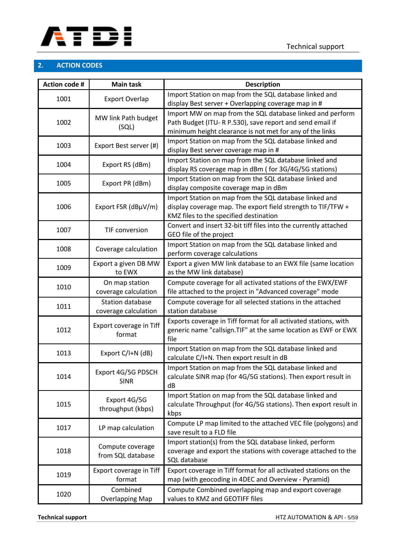

### **2. ACTION CODES**

| <b>Action code #</b> | <b>Main task</b>                                | <b>Description</b>                                                                                                                                                               |  |
|----------------------|-------------------------------------------------|----------------------------------------------------------------------------------------------------------------------------------------------------------------------------------|--|
| 1001                 | <b>Export Overlap</b>                           | Import Station on map from the SQL database linked and<br>display Best server + Overlapping coverage map in #                                                                    |  |
| 1002                 | MW link Path budget<br>(SQL)                    | Import MW on map from the SQL database linked and perform<br>Path Budget (ITU-RP.530), save report and send email if<br>minimum height clearance is not met for any of the links |  |
| 1003                 | Export Best server (#)                          | Import Station on map from the SQL database linked and<br>display Best server coverage map in #                                                                                  |  |
| 1004                 | Export RS (dBm)                                 | Import Station on map from the SQL database linked and<br>display RS coverage map in dBm (for 3G/4G/5G stations)                                                                 |  |
| 1005                 | Export PR (dBm)                                 | Import Station on map from the SQL database linked and<br>display composite coverage map in dBm                                                                                  |  |
| 1006                 | Export FSR (dBµV/m)                             | Import Station on map from the SQL database linked and<br>display coverage map. The export field strength to TIF/TFW +<br>KMZ files to the specified destination                 |  |
| 1007                 | TIF conversion                                  | Convert and insert 32-bit tiff files into the currently attached<br>GEO file of the project                                                                                      |  |
| 1008                 | Coverage calculation                            | Import Station on map from the SQL database linked and<br>perform coverage calculations                                                                                          |  |
| 1009                 | Export a given DB MW<br>to EWX                  | Export a given MW link database to an EWX file (same location<br>as the MW link database)                                                                                        |  |
| 1010                 | On map station<br>coverage calculation          | Compute coverage for all activated stations of the EWX/EWF<br>file attached to the project in "Advanced coverage" mode                                                           |  |
| 1011                 | <b>Station database</b><br>coverage calculation | Compute coverage for all selected stations in the attached<br>station database                                                                                                   |  |
| 1012                 | Export coverage in Tiff<br>format               | Exports coverage in Tiff format for all activated stations, with<br>generic name "callsign. TIF" at the same location as EWF or EWX<br>file                                      |  |
| 1013                 | Export C/I+N (dB)                               | Import Station on map from the SQL database linked and<br>calculate C/I+N. Then export result in dB                                                                              |  |
| 1014                 | Export 4G/5G PDSCH<br><b>SINR</b>               | Import Station on map from the SQL database linked and<br>calculate SINR map (for 4G/5G stations). Then export result in<br>dB                                                   |  |
| 1015                 | Export 4G/5G<br>throughput (kbps)               | Import Station on map from the SQL database linked and<br>calculate Throughput (for 4G/5G stations). Then export result in<br>kbps                                               |  |
| 1017                 | LP map calculation                              | Compute LP map limited to the attached VEC file (polygons) and<br>save result to a FLD file                                                                                      |  |
| 1018                 | Compute coverage<br>from SQL database           | Import station(s) from the SQL database linked, perform<br>coverage and export the stations with coverage attached to the<br>SQL database                                        |  |
| 1019                 | Export coverage in Tiff<br>format               | Export coverage in Tiff format for all activated stations on the<br>map (with geocoding in 4DEC and Overview - Pyramid)                                                          |  |
| 1020                 | Combined<br><b>Overlapping Map</b>              | Compute Combined overlapping map and export coverage<br>values to KMZ and GEOTIFF files                                                                                          |  |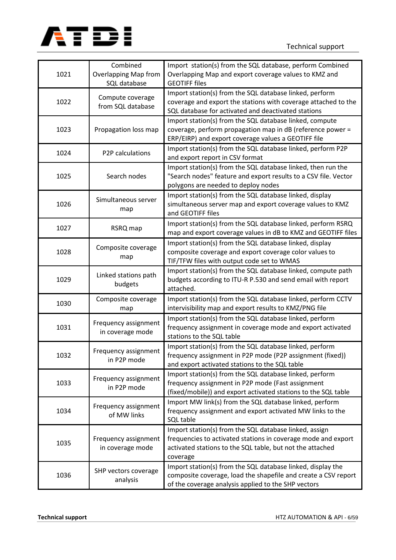

| 1021 | Combined<br><b>Overlapping Map from</b><br>SQL database | Import station(s) from the SQL database, perform Combined<br>Overlapping Map and export coverage values to KMZ and<br><b>GEOTIFF files</b>                                                       |  |
|------|---------------------------------------------------------|--------------------------------------------------------------------------------------------------------------------------------------------------------------------------------------------------|--|
| 1022 | Compute coverage<br>from SQL database                   | Import station(s) from the SQL database linked, perform<br>coverage and export the stations with coverage attached to the<br>SQL database for activated and deactivated stations                 |  |
| 1023 | Propagation loss map                                    | Import station(s) from the SQL database linked, compute<br>coverage, perform propagation map in dB (reference power =<br>ERP/EIRP) and export coverage values a GEOTIFF file                     |  |
| 1024 | P2P calculations                                        | Import station(s) from the SQL database linked, perform P2P<br>and export report in CSV format                                                                                                   |  |
| 1025 | Search nodes                                            | Import station(s) from the SQL database linked, then run the<br>"Search nodes" feature and export results to a CSV file. Vector<br>polygons are needed to deploy nodes                           |  |
| 1026 | Simultaneous server<br>map                              | Import station(s) from the SQL database linked, display<br>simultaneous server map and export coverage values to KMZ<br>and GEOTIFF files                                                        |  |
| 1027 | RSRQ map                                                | Import station(s) from the SQL database linked, perform RSRQ<br>map and export coverage values in dB to KMZ and GEOTIFF files                                                                    |  |
| 1028 | Composite coverage<br>map                               | Import station(s) from the SQL database linked, display<br>composite coverage and export coverage color values to<br>TIF/TFW files with output code set to WMAS                                  |  |
| 1029 | Linked stations path<br>budgets                         | Import station(s) from the SQL database linked, compute path<br>budgets according to ITU-R P.530 and send email with report<br>attached.                                                         |  |
| 1030 | Composite coverage<br>map                               | Import station(s) from the SQL database linked, perform CCTV<br>intervisibility map and export results to KMZ/PNG file                                                                           |  |
| 1031 | Frequency assignment<br>in coverage mode                | Import station(s) from the SQL database linked, perform<br>frequency assignment in coverage mode and export activated<br>stations to the SQL table                                               |  |
| 1032 | Frequency assignment<br>in P2P mode                     | Import station(s) from the SQL database linked, perform<br>frequency assignment in P2P mode (P2P assignment (fixed))<br>and export activated stations to the SQL table                           |  |
| 1033 | Frequency assignment<br>in P2P mode                     | Import station(s) from the SQL database linked, perform<br>frequency assignment in P2P mode (Fast assignment<br>(fixed/mobile)) and export activated stations to the SQL table                   |  |
| 1034 | Frequency assignment<br>of MW links                     | Import MW link(s) from the SQL database linked, perform<br>frequency assignment and export activated MW links to the<br>SQL table                                                                |  |
| 1035 | Frequency assignment<br>in coverage mode                | Import station(s) from the SQL database linked, assign<br>frequencies to activated stations in coverage mode and export<br>activated stations to the SQL table, but not the attached<br>coverage |  |
| 1036 | SHP vectors coverage<br>analysis                        | Import station(s) from the SQL database linked, display the<br>composite coverage, load the shapefile and create a CSV report<br>of the coverage analysis applied to the SHP vectors             |  |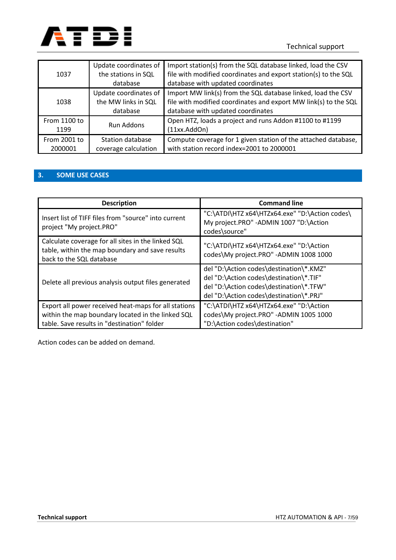

| 1037                    | Update coordinates of<br>the stations in SQL<br>database | Import station(s) from the SQL database linked, load the CSV<br>file with modified coordinates and export station(s) to the SQL<br>database with updated coordinates |
|-------------------------|----------------------------------------------------------|----------------------------------------------------------------------------------------------------------------------------------------------------------------------|
| 1038                    | Update coordinates of<br>the MW links in SQL<br>database | Import MW link(s) from the SQL database linked, load the CSV<br>file with modified coordinates and export MW link(s) to the SQL<br>database with updated coordinates |
| From 1100 to<br>1199    | <b>Run Addons</b>                                        | Open HTZ, loads a project and runs Addon #1100 to #1199<br>(11xx.AddOn)                                                                                              |
| From 2001 to<br>2000001 | Station database<br>coverage calculation                 | Compute coverage for 1 given station of the attached database,<br>with station record index=2001 to 2000001                                                          |

## **3. SOME USE CASES**

| <b>Description</b>                                                                                                                                       | <b>Command line</b>                                                                                                                                                      |
|----------------------------------------------------------------------------------------------------------------------------------------------------------|--------------------------------------------------------------------------------------------------------------------------------------------------------------------------|
| Insert list of TIFF files from "source" into current<br>project "My project.PRO"                                                                         | "C:\ATDI\HTZ x64\HTZx64.exe" "D:\Action codes\<br>My project.PRO" -ADMIN 1007 "D:\Action<br>codes\source"                                                                |
| Calculate coverage for all sites in the linked SQL<br>table, within the map boundary and save results<br>back to the SQL database                        | "C:\ATDI\HTZ x64\HTZx64.exe" "D:\Action<br>codes\My project.PRO" -ADMIN 1008 1000                                                                                        |
| Delete all previous analysis output files generated                                                                                                      | del "D:\Action codes\destination\*.KMZ"<br>del "D:\Action codes\destination\*.TIF"<br>del "D:\Action codes\destination\*.TFW"<br>del "D:\Action codes\destination\*.PRJ" |
| Export all power received heat-maps for all stations<br>within the map boundary located in the linked SQL<br>table. Save results in "destination" folder | "C:\ATDI\HTZ x64\HTZx64.exe" "D:\Action<br>codes\My project.PRO" -ADMIN 1005 1000<br>"D:\Action codes\destination"                                                       |

Action codes can be added on demand.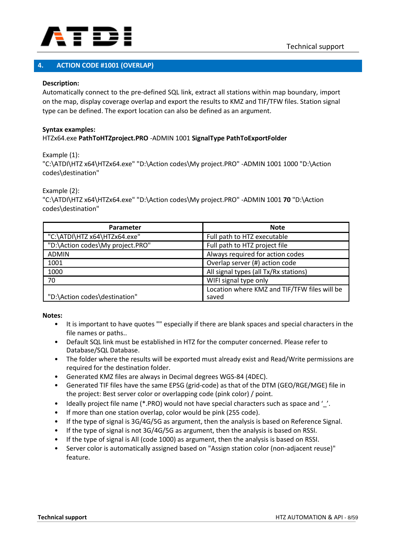

### **4. ACTION CODE #1001 (OVERLAP)**

### **Description:**

Automatically connect to the pre-defined SQL link, extract all stations within map boundary, import on the map, display coverage overlap and export the results to KMZ and TIF/TFW files. Station signal type can be defined. The export location can also be defined as an argument.

#### **Syntax examples:** HTZx64.exe **PathToHTZproject.PRO** -ADMIN 1001 **SignalType PathToExportFolder**

Example (1):

"C:\ATDI\HTZ x64\HTZx64.exe" "D:\Action codes\My project.PRO" -ADMIN 1001 1000 "D:\Action codes\destination"

Example (2):

"C:\ATDI\HTZ x64\HTZx64.exe" "D:\Action codes\My project.PRO" -ADMIN 1001 **70** "D:\Action codes\destination"

| <b>Parameter</b>                 | <b>Note</b>                                  |
|----------------------------------|----------------------------------------------|
| "C:\ATDI\HTZ x64\HTZx64.exe"     | Full path to HTZ executable                  |
| "D:\Action codes\My project.PRO" | Full path to HTZ project file                |
| ADMIN                            | Always required for action codes             |
| 1001                             | Overlap server (#) action code               |
| 1000                             | All signal types (all Tx/Rx stations)        |
| 70                               | WIFI signal type only                        |
|                                  | Location where KMZ and TIF/TFW files will be |
| "D:\Action codes\destination"    | saved                                        |

#### **Notes:**

- It is important to have quotes "" especially if there are blank spaces and special characters in the file names or paths..
- Default SQL link must be established in HTZ for the computer concerned. Please refer to Database/SQL Database.
- The folder where the results will be exported must already exist and Read/Write permissions are required for the destination folder.
- Generated KMZ files are always in Decimal degrees WGS-84 (4DEC).
- Generated TIF files have the same EPSG (grid-code) as that of the DTM (GEO/RGE/MGE) file in the project: Best server color or overlapping code (pink color) / point.
- Ideally project file name (\*.PRO) would not have special characters such as space and ''.
- If more than one station overlap, color would be pink (255 code).
- If the type of signal is 3G/4G/5G as argument, then the analysis is based on Reference Signal.
- If the type of signal is not 3G/4G/5G as argument, then the analysis is based on RSSI.
- If the type of signal is All (code 1000) as argument, then the analysis is based on RSSI.
- Server color is automatically assigned based on "Assign station color (non-adjacent reuse)" feature.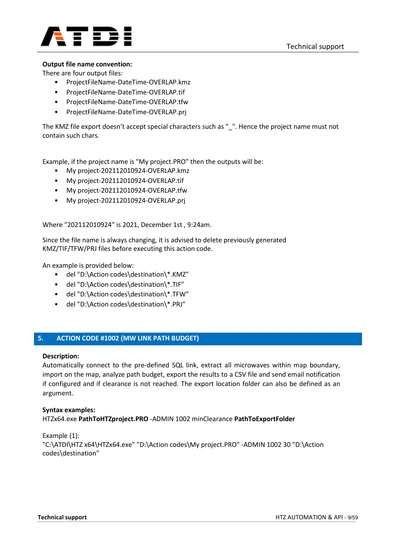

### **Output file name convention:**

There are four output files:

- ProjectFileName-DateTime-OVERLAP.kmz
- ProjectFileName-DateTime-OVERLAP.tif
- ProjectFileName-DateTime-OVERLAP.tfw
- ProjectFileName-DateTime-OVERLAP.prj

The KMZ file export doesn't accept special characters such as "\_". Hence the project name must not contain such chars.

Example, if the project name is "My project.PRO" then the outputs will be:

- My project-202112010924-OVERLAP.kmz
- My project-202112010924-OVERLAP.tif
- My project-202112010924-OVERLAP.tfw
- My project-202112010924-OVERLAP.prj

Where "202112010924" is 2021, December 1st , 9:24am.

Since the file name is always changing, it is advised to delete previously generated KMZ/TIF/TFW/PRJ files before executing this action code.

An example is provided below:

- del "D:\Action codes\destination\\*.KMZ"
- del "D:\Action codes\destination\\*.TIF"
- del "D:\Action codes\destination\\*.TFW"
- del "D:\Action codes\destination\\*.PRJ"

### **5. ACTION CODE #1002 (MW LINK PATH BUDGET)**

### **Description:**

Automatically connect to the pre-defined SQL link, extract all microwaves within map boundary, import on the map, analyze path budget, export the results to a CSV file and send email notification if configured and if clearance is not reached. The export location folder can also be defined as an argument.

### **Syntax examples:**

HTZx64.exe **PathToHTZproject.PRO** -ADMIN 1002 minClearance **PathToExportFolder**

Example (1): "C:\ATDI\HTZ x64\HTZx64.exe" "D:\Action codes\My project.PRO" -ADMIN 1002 30 "D:\Action codes\destination"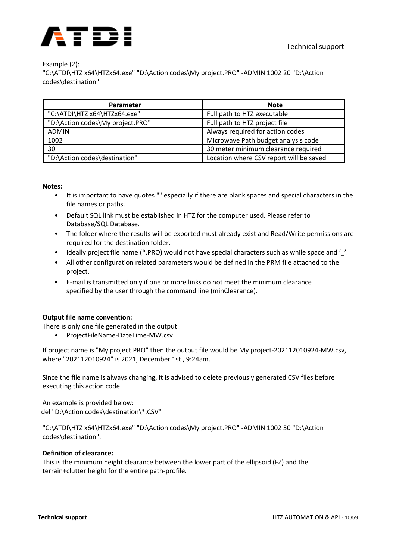

### Example (2):

"C:\ATDI\HTZ x64\HTZx64.exe" "D:\Action codes\My project.PRO" -ADMIN 1002 20 "D:\Action codes\destination"

| Parameter                        | <b>Note</b>                             |
|----------------------------------|-----------------------------------------|
| "C:\ATDI\HTZ x64\HTZx64.exe"     | Full path to HTZ executable             |
| "D:\Action codes\My project.PRO" | Full path to HTZ project file           |
| ADMIN                            | Always required for action codes        |
| 1002                             | Microwave Path budget analysis code     |
| 30                               | 30 meter minimum clearance required     |
| "D:\Action codes\destination"    | Location where CSV report will be saved |

#### **Notes:**

- It is important to have quotes "" especially if there are blank spaces and special characters in the file names or paths.
- Default SQL link must be established in HTZ for the computer used. Please refer to Database/SQL Database.
- The folder where the results will be exported must already exist and Read/Write permissions are required for the destination folder.
- Ideally project file name (\*.PRO) would not have special characters such as while space and '..
- All other configuration related parameters would be defined in the PRM file attached to the project.
- E-mail is transmitted only if one or more links do not meet the minimum clearance specified by the user through the command line (minClearance).

### **Output file name convention:**

There is only one file generated in the output:

• ProjectFileName-DateTime-MW.csv

If project name is "My project.PRO" then the output file would be My project-202112010924-MW.csv, where "202112010924" is 2021, December 1st , 9:24am.

Since the file name is always changing, it is advised to delete previously generated CSV files before executing this action code.

An example is provided below: del "D:\Action codes\destination\\*.CSV"

"C:\ATDI\HTZ x64\HTZx64.exe" "D:\Action codes\My project.PRO" -ADMIN 1002 30 "D:\Action codes\destination".

### **Definition of clearance:**

This is the minimum height clearance between the lower part of the ellipsoid (FZ) and the terrain+clutter height for the entire path-profile.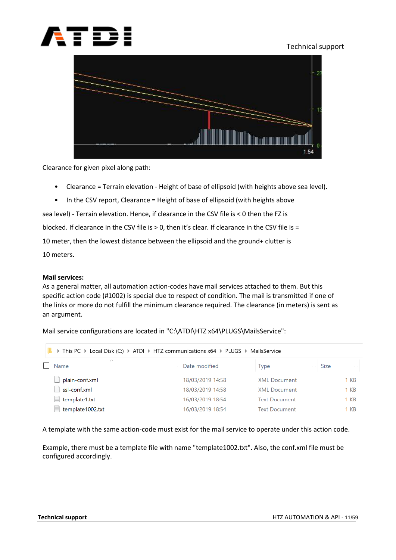



Clearance for given pixel along path:

- Clearance = Terrain elevation Height of base of ellipsoid (with heights above sea level).
- In the CSV report, Clearance = Height of base of ellipsoid (with heights above

sea level) - Terrain elevation. Hence, if clearance in the CSV file is < 0 then the FZ is

blocked. If clearance in the CSV file is > 0, then it's clear. If clearance in the CSV file is =

10 meter, then the lowest distance between the ellipsoid and the ground+ clutter is

10 meters.

#### **Mail services:**

As a general matter, all automation action-codes have mail services attached to them. But this specific action code (#1002) is special due to respect of condition. The mail is transmitted if one of the links or more do not fulfill the minimum clearance required. The clearance (in meters) is sent as an argument.

Mail service configurations are located in "C:\ATDI\HTZ x64\PLUGS\MailsService":

| > This PC > Local Disk (C:) > ATDI > HTZ communications x64 > PLUGS > MailsService |                  |                      |             |  |
|------------------------------------------------------------------------------------|------------------|----------------------|-------------|--|
| $\curvearrowright$<br>Name                                                         | Date modified    | Type                 | <b>Size</b> |  |
| plain-conf.xml                                                                     | 18/03/2019 14:58 | <b>XML Document</b>  | 1 KB        |  |
| ssl-conf.xml                                                                       | 18/03/2019 14:58 | <b>XML Document</b>  | $1 K$ B     |  |
| E<br>template1.txt                                                                 | 16/03/2019 18:54 | <b>Text Document</b> | 1 KB        |  |
| E<br>template1002.txt                                                              | 16/03/2019 18:54 | <b>Text Document</b> | $1 K$ B     |  |

A template with the same action-code must exist for the mail service to operate under this action code.

Example, there must be a template file with name "template1002.txt". Also, the conf.xml file must be configured accordingly.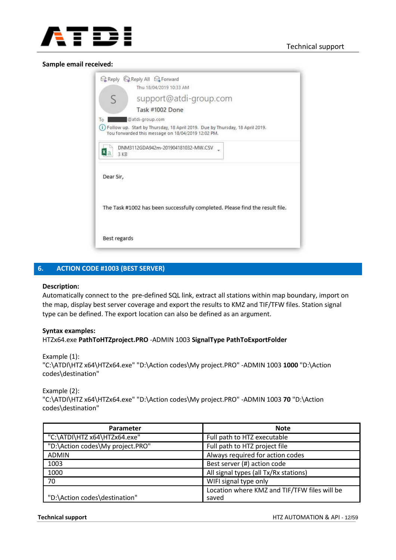

#### **Sample email received:**

|              | <b>Q Reply Ca Reply All Ca Forward</b><br>Thu 18/04/2019 10:33 AM                                                                  |  |  |  |
|--------------|------------------------------------------------------------------------------------------------------------------------------------|--|--|--|
| S            | support@atdi-group.com                                                                                                             |  |  |  |
|              | Task #1002 Done                                                                                                                    |  |  |  |
| To           | @atdi-group.com                                                                                                                    |  |  |  |
| G            | Follow up. Start by Thursday, 18 April 2019. Due by Thursday, 18 April 2019.<br>You forwarded this message on 18/04/2019 12:02 PM. |  |  |  |
|              | DNM3112GDA942m-201904181032-MW.CSV<br>3 KB                                                                                         |  |  |  |
| Dear Sir,    |                                                                                                                                    |  |  |  |
|              | The Task #1002 has been successfully completed. Please find the result file.                                                       |  |  |  |
| Best regards |                                                                                                                                    |  |  |  |

### **6. ACTION CODE #1003 (BEST SERVER)**

#### **Description:**

Automatically connect to the pre-defined SQL link, extract all stations within map boundary, import on the map, display best server coverage and export the results to KMZ and TIF/TFW files. Station signal type can be defined. The export location can also be defined as an argument.

### **Syntax examples:** HTZx64.exe **PathToHTZproject.PRO** -ADMIN 1003 **SignalType PathToExportFolder**

#### Example (1):

"C:\ATDI\HTZ x64\HTZx64.exe" "D:\Action codes\My project.PRO" -ADMIN 1003 **1000** "D:\Action codes\destination"

#### Example (2):

"C:\ATDI\HTZ x64\HTZx64.exe" "D:\Action codes\My project.PRO" -ADMIN 1003 **70** "D:\Action codes\destination"

| <b>Parameter</b>                 | <b>Note</b>                                  |
|----------------------------------|----------------------------------------------|
| "C:\ATDI\HTZ x64\HTZx64.exe"     | Full path to HTZ executable                  |
| "D:\Action codes\My project.PRO" | Full path to HTZ project file                |
| <b>ADMIN</b>                     | Always required for action codes             |
| 1003                             | Best server (#) action code                  |
| 1000                             | All signal types (all Tx/Rx stations)        |
| 70                               | WIFI signal type only                        |
|                                  | Location where KMZ and TIF/TFW files will be |
| "D:\Action codes\destination"    | saved                                        |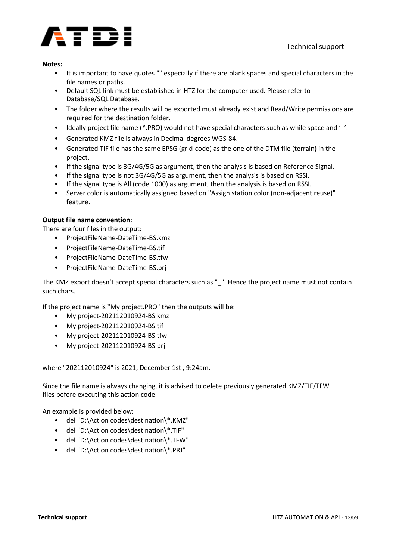

- It is important to have quotes "" especially if there are blank spaces and special characters in the file names or paths.
- Default SQL link must be established in HTZ for the computer used. Please refer to Database/SQL Database.
- The folder where the results will be exported must already exist and Read/Write permissions are required for the destination folder.
- Ideally project file name (\*.PRO) would not have special characters such as while space and ''.
- Generated KMZ file is always in Decimal degrees WGS-84.
- Generated TIF file has the same EPSG (grid-code) as the one of the DTM file (terrain) in the project.
- If the signal type is 3G/4G/5G as argument, then the analysis is based on Reference Signal.
- If the signal type is not 3G/4G/5G as argument, then the analysis is based on RSSI.
- If the signal type is All (code 1000) as argument, then the analysis is based on RSSI.
- Server color is automatically assigned based on "Assign station color (non-adjacent reuse)" feature.

### **Output file name convention:**

There are four files in the output:

- ProjectFileName-DateTime-BS.kmz
- ProjectFileName-DateTime-BS.tif
- ProjectFileName-DateTime-BS.tfw
- ProjectFileName-DateTime-BS.prj

The KMZ export doesn't accept special characters such as " ". Hence the project name must not contain such chars.

If the project name is "My project.PRO" then the outputs will be:

- My project-202112010924-BS.kmz
- My project-202112010924-BS.tif
- My project-202112010924-BS.tfw
- My project-202112010924-BS.prj

where "202112010924" is 2021, December 1st , 9:24am.

Since the file name is always changing, it is advised to delete previously generated KMZ/TIF/TFW files before executing this action code.

An example is provided below:

- del "D:\Action codes\destination\\*.KMZ"
- del "D:\Action codes\destination\\*.TIF"
- del "D:\Action codes\destination\\*.TFW"
- del "D:\Action codes\destination\\*.PRJ"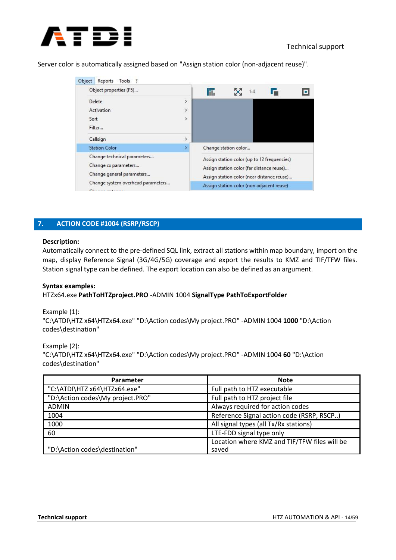

Server color is automatically assigned based on "Assign station color (non-adjacent reuse)".

| Object<br>Reports Tools ?                                                        |               |   |                                                                                                                                        |   |
|----------------------------------------------------------------------------------|---------------|---|----------------------------------------------------------------------------------------------------------------------------------------|---|
| Object properties (F5)                                                           |               | 氚 | 1:4                                                                                                                                    | o |
| Delete                                                                           | $\,$          |   |                                                                                                                                        |   |
| Activation                                                                       | $\rightarrow$ |   |                                                                                                                                        |   |
| Sort                                                                             | Y             |   |                                                                                                                                        |   |
| Filter                                                                           |               |   |                                                                                                                                        |   |
| Callsign                                                                         | X             |   |                                                                                                                                        |   |
| <b>Station Color</b>                                                             | ۶             |   | Change station color                                                                                                                   |   |
| Change technical parameters<br>Change cx parameters<br>Change general parameters |               |   | Assign station color (up to 12 frequencies)<br>Assign station color (far distance reuse)<br>Assign station color (near distance reuse) |   |
| Change system overhead parameters<br>Character subseque                          |               |   | Assign station color (non adjacent reuse)                                                                                              |   |

### **7. ACTION CODE #1004 (RSRP/RSCP)**

#### **Description:**

Automatically connect to the pre-defined SQL link, extract all stations within map boundary, import on the map, display Reference Signal (3G/4G/5G) coverage and export the results to KMZ and TIF/TFW files. Station signal type can be defined. The export location can also be defined as an argument.

### **Syntax examples:**

HTZx64.exe **PathToHTZproject.PRO** -ADMIN 1004 **SignalType PathToExportFolder**

Example (1): "C:\ATDI\HTZ x64\HTZx64.exe" "D:\Action codes\My project.PRO" -ADMIN 1004 **1000** "D:\Action codes\destination"

#### Example (2):

"C:\ATDI\HTZ x64\HTZx64.exe" "D:\Action codes\My project.PRO" -ADMIN 1004 **60** "D:\Action codes\destination"

| Parameter                        | <b>Note</b>                                           |
|----------------------------------|-------------------------------------------------------|
| "C:\ATDI\HTZ x64\HTZx64.exe"     | Full path to HTZ executable                           |
| "D:\Action codes\My project.PRO" | Full path to HTZ project file                         |
| <b>ADMIN</b>                     | Always required for action codes                      |
| 1004                             | Reference Signal action code (RSRP, RSCP)             |
| 1000                             | All signal types (all Tx/Rx stations)                 |
| 60                               | LTE-FDD signal type only                              |
| "D:\Action codes\destination"    | Location where KMZ and TIF/TFW files will be<br>saved |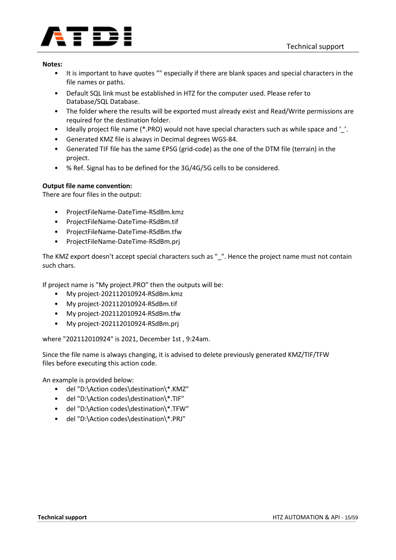

- It is important to have quotes "" especially if there are blank spaces and special characters in the file names or paths.
- Default SQL link must be established in HTZ for the computer used. Please refer to Database/SQL Database.
- The folder where the results will be exported must already exist and Read/Write permissions are required for the destination folder.
- Ideally project file name (\*.PRO) would not have special characters such as while space and '\_'.
- Generated KMZ file is always in Decimal degrees WGS-84.
- Generated TIF file has the same EPSG (grid-code) as the one of the DTM file (terrain) in the project.
- % Ref. Signal has to be defined for the 3G/4G/5G cells to be considered.

### **Output file name convention:**

There are four files in the output:

- ProjectFileName-DateTime-RSdBm.kmz
- ProjectFileName-DateTime-RSdBm.tif
- ProjectFileName-DateTime-RSdBm.tfw
- ProjectFileName-DateTime-RSdBm.prj

The KMZ export doesn't accept special characters such as " ". Hence the project name must not contain such chars.

If project name is "My project.PRO" then the outputs will be:

- My project-202112010924-RSdBm.kmz
- My project-202112010924-RSdBm.tif
- My project-202112010924-RSdBm.tfw
- My project-202112010924-RSdBm.prj

where "202112010924" is 2021, December 1st , 9:24am.

Since the file name is always changing, it is advised to delete previously generated KMZ/TIF/TFW files before executing this action code.

An example is provided below:

- del "D:\Action codes\destination\\*.KMZ"
- del "D:\Action codes\destination\\*.TIF"
- del "D:\Action codes\destination\\*.TFW"
- del "D:\Action codes\destination\\*.PRJ"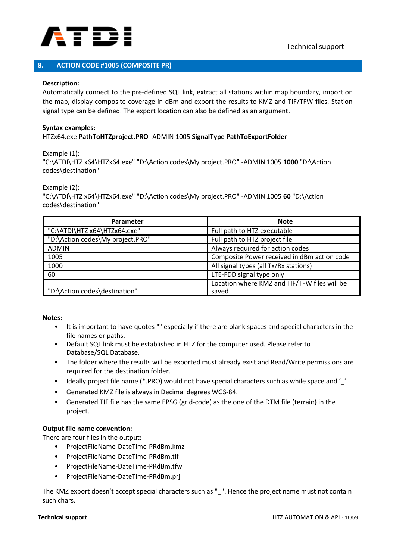

### **8. ACTION CODE #1005 (COMPOSITE PR)**

### **Description:**

Automatically connect to the pre-defined SQL link, extract all stations within map boundary, import on the map, display composite coverage in dBm and export the results to KMZ and TIF/TFW files. Station signal type can be defined. The export location can also be defined as an argument.

### **Syntax examples:** HTZx64.exe **PathToHTZproject.PRO** -ADMIN 1005 **SignalType PathToExportFolder**

Example (1):

"C:\ATDI\HTZ x64\HTZx64.exe" "D:\Action codes\My project.PRO" -ADMIN 1005 **1000** "D:\Action codes\destination"

Example (2):

"C:\ATDI\HTZ x64\HTZx64.exe" "D:\Action codes\My project.PRO" -ADMIN 1005 **60** "D:\Action codes\destination"

| Parameter                        | <b>Note</b>                                  |
|----------------------------------|----------------------------------------------|
| "C:\ATDI\HTZ x64\HTZx64.exe"     | Full path to HTZ executable                  |
| "D:\Action codes\My project.PRO" | Full path to HTZ project file                |
| <b>ADMIN</b>                     | Always required for action codes             |
| 1005                             | Composite Power received in dBm action code  |
| 1000                             | All signal types (all Tx/Rx stations)        |
| 60                               | LTE-FDD signal type only                     |
|                                  | Location where KMZ and TIF/TFW files will be |
| "D:\Action codes\destination"    | saved                                        |

#### **Notes:**

- It is important to have quotes "" especially if there are blank spaces and special characters in the file names or paths.
- Default SQL link must be established in HTZ for the computer used. Please refer to Database/SQL Database.
- The folder where the results will be exported must already exist and Read/Write permissions are required for the destination folder.
- Ideally project file name (\*.PRO) would not have special characters such as while space and '.
- Generated KMZ file is always in Decimal degrees WGS-84.
- Generated TIF file has the same EPSG (grid-code) as the one of the DTM file (terrain) in the project.

### **Output file name convention:**

There are four files in the output:

- ProjectFileName-DateTime-PRdBm.kmz
- ProjectFileName-DateTime-PRdBm.tif
- ProjectFileName-DateTime-PRdBm.tfw
- ProjectFileName-DateTime-PRdBm.prj

The KMZ export doesn't accept special characters such as " ". Hence the project name must not contain such chars.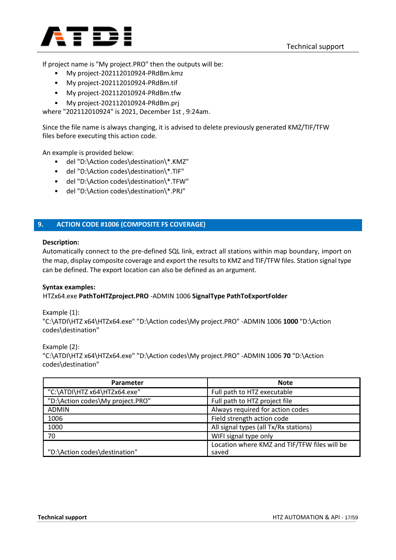

If project name is "My project.PRO" then the outputs will be:

- My project-202112010924-PRdBm.kmz
- My project-202112010924-PRdBm.tif
- My project-202112010924-PRdBm.tfw
- My project-202112010924-PRdBm.prj

where "202112010924" is 2021, December 1st , 9:24am.

Since the file name is always changing, it is advised to delete previously generated KMZ/TIF/TFW files before executing this action code.

An example is provided below:

- del "D:\Action codes\destination\\*.KMZ"
- del "D:\Action codes\destination\\*.TIF"
- del "D:\Action codes\destination\\*.TFW"
- del "D:\Action codes\destination\\*.PRJ"

### **9. ACTION CODE #1006 (COMPOSITE FS COVERAGE)**

#### **Description:**

Automatically connect to the pre-defined SQL link, extract all stations within map boundary, import on the map, display composite coverage and export the results to KMZ and TIF/TFW files. Station signal type can be defined. The export location can also be defined as an argument.

### **Syntax examples:**

### HTZx64.exe **PathToHTZproject.PRO** -ADMIN 1006 **SignalType PathToExportFolder**

Example (1): "C:\ATDI\HTZ x64\HTZx64.exe" "D:\Action codes\My project.PRO" -ADMIN 1006 **1000** "D:\Action codes\destination"

Example (2): "C:\ATDI\HTZ x64\HTZx64.exe" "D:\Action codes\My project.PRO" -ADMIN 1006 **70** "D:\Action codes\destination"

| <b>Parameter</b>                 | <b>Note</b>                                  |
|----------------------------------|----------------------------------------------|
| "C:\ATDI\HTZ x64\HTZx64.exe"     | Full path to HTZ executable                  |
| "D:\Action codes\My project.PRO" | Full path to HTZ project file                |
| <b>ADMIN</b>                     | Always required for action codes             |
| 1006                             | Field strength action code                   |
| 1000                             | All signal types (all Tx/Rx stations)        |
| 70                               | WIFI signal type only                        |
|                                  | Location where KMZ and TIF/TFW files will be |
| "D:\Action codes\destination"    | saved                                        |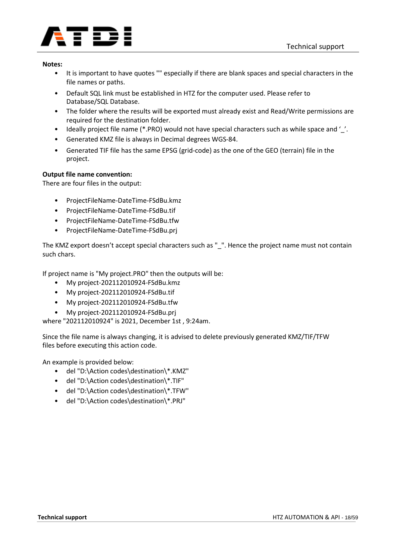

- It is important to have quotes "" especially if there are blank spaces and special characters in the file names or paths.
- Default SQL link must be established in HTZ for the computer used. Please refer to Database/SQL Database.
- The folder where the results will be exported must already exist and Read/Write permissions are required for the destination folder.
- Ideally project file name (\*.PRO) would not have special characters such as while space and '\_'.
- Generated KMZ file is always in Decimal degrees WGS-84.
- Generated TIF file has the same EPSG (grid-code) as the one of the GEO (terrain) file in the project.

### **Output file name convention:**

There are four files in the output:

- ProjectFileName-DateTime-FSdBu.kmz
- ProjectFileName-DateTime-FSdBu.tif
- ProjectFileName-DateTime-FSdBu.tfw
- ProjectFileName-DateTime-FSdBu.prj

The KMZ export doesn't accept special characters such as "\_". Hence the project name must not contain such chars.

If project name is "My project.PRO" then the outputs will be:

- My project-202112010924-FSdBu.kmz
- My project-202112010924-FSdBu.tif
- My project-202112010924-FSdBu.tfw
- My project-202112010924-FSdBu.prj

where "202112010924" is 2021, December 1st , 9:24am.

Since the file name is always changing, it is advised to delete previously generated KMZ/TIF/TFW files before executing this action code.

An example is provided below:

- del "D:\Action codes\destination\\*.KMZ"
- del "D:\Action codes\destination\\*.TIF"
- del "D:\Action codes\destination\\*.TFW"
- del "D:\Action codes\destination\\*.PRJ"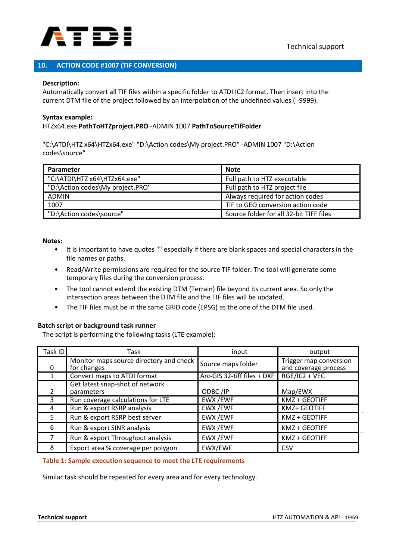

### **10. ACTION CODE #1007 (TIF CONVERSION)**

### **Description:**

Automatically convert all TIF files within a specific folder to ATDI IC2 format. Then insert into the current DTM file of the project followed by an interpolation of the undefined values ( -9999).

#### **Syntax example:**

### HTZx64.exe **PathToHTZproject.PRO** -ADMIN 1007 **PathToSourceTifFolder**

"C:\ATDI\HTZ x64\HTZx64.exe" "D:\Action codes\My project.PRO" -ADMIN 1007 "D:\Action codes\source"

| Parameter                        | <b>Note</b>                             |
|----------------------------------|-----------------------------------------|
| "C:\ATDI\HTZ x64\HTZx64.exe"     | Full path to HTZ executable             |
| "D:\Action codes\My project.PRO" | Full path to HTZ project file           |
| <b>ADMIN</b>                     | Always required for action codes        |
| 1007                             | TIF to GEO conversion action code       |
| "D:\Action codes\source"         | Source folder for all 32-bit TIFF files |

#### **Notes:**

- It is important to have quotes "" especially if there are blank spaces and special characters in the file names or paths.
- Read/Write permissions are required for the source TIF folder. The tool will generate some temporary files during the conversion process.
- The tool cannot extend the existing DTM (Terrain) file beyond its current area. So only the intersection areas between the DTM file and the TIF files will be updated.
- The TIF files must be in the same GRID code (EPSG) as the one of the DTM file used.

### **Batch script or background task runner**

The script is performing the following tasks (LTE example):

| Task ID | Task                                                   | input                       | output                                         |
|---------|--------------------------------------------------------|-----------------------------|------------------------------------------------|
|         | Monitor maps source directory and check<br>for changes | Source maps folder          | Trigger map conversion<br>and coverage process |
|         | Convert maps to ATDI format                            | Arc-GIS 32-tiff files + DXF | RGE/IC2 + VEC                                  |
|         | Get latest snap-shot of network<br>parameters          | ODBC/IP                     | Map/EWX                                        |
| 3       | Run coverage calculations for LTE                      | EWX /EWF                    | KMZ + GEOTIFF                                  |
| 4       | Run & export RSRP analysis                             | EWX /EWF                    | KMZ+ GEOTIFF                                   |
| .5      | Run & export RSRP best server                          | EWX /EWF                    | <b>KMZ + GEOTIFF</b>                           |
| 6       | Run & export SINR analysis                             | EWX/EWF                     | KMZ + GEOTIFF                                  |
|         | Run & export Throughput analysis                       | EWX /EWF                    | KMZ + GEOTIFF                                  |
| 8       | Export area % coverage per polygon                     | EWX/EWF                     | CSV                                            |

### **Table 1: Sample execution sequence to meet the LTE requirements**

Similar task should be repeated for every area and for every technology.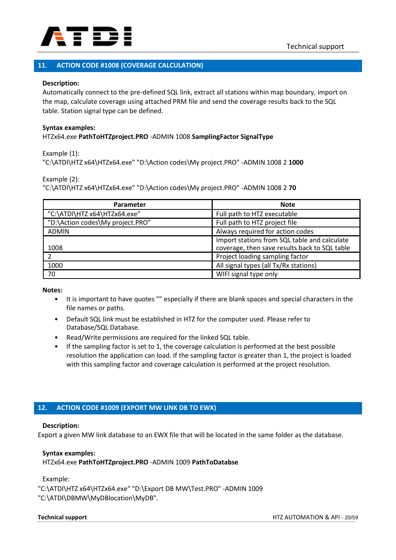

### **11. ACTION CODE #1008 (COVERAGE CALCULATION)**

### **Description:**

Automatically connect to the pre-defined SQL link, extract all stations within map boundary, import on the map, calculate coverage using attached PRM file and send the coverage results back to the SQL table. Station signal type can be defined.

#### **Syntax examples:** HTZx64.exe **PathToHTZproject.PRO** -ADMIN 1008 **SamplingFactor SignalType**

Example (1): "C:\ATDI\HTZ x64\HTZx64.exe" "D:\Action codes\My project.PRO" -ADMIN 1008 2 **1000**

Example (2):

"C:\ATDI\HTZ x64\HTZx64.exe" "D:\Action codes\My project.PRO" -ADMIN 1008 2 **70**

| <b>Parameter</b>                 | <b>Note</b>                                                                                   |
|----------------------------------|-----------------------------------------------------------------------------------------------|
| "C:\ATDI\HTZ x64\HTZx64.exe"     | Full path to HTZ executable                                                                   |
| "D:\Action codes\My project.PRO" | Full path to HTZ project file                                                                 |
| <b>ADMIN</b>                     | Always required for action codes                                                              |
| 1008                             | Import stations from SQL table and calculate<br>coverage, then save results back to SQL table |
|                                  | Project loading sampling factor                                                               |
| 1000                             | All signal types (all Tx/Rx stations)                                                         |
| 70                               | WIFI signal type only                                                                         |

**Notes:**

- It is important to have quotes "" especially if there are blank spaces and special characters in the file names or paths.
- Default SQL link must be established in HTZ for the computer used. Please refer to Database/SQL Database.
- Read/Write permissions are required for the linked SQL table.
- If the sampling factor is set to 1, the coverage calculation is performed at the best possible resolution the application can load. If the sampling factor is greater than 1, the project is loaded with this sampling factor and coverage calculation is performed at the project resolution.

### **12. ACTION CODE #1009 (EXPORT MW LINK DB TO EWX)**

#### **Description:**

Export a given MW link database to an EWX file that will be located in the same folder as the database.

### **Syntax examples:**

HTZx64.exe **PathToHTZproject.PRO** -ADMIN 1009 **PathToDatabse**

Example:

"C:\ATDI\HTZ x64\HTZx64.exe" "D:\Export DB MW\Test.PRO" -ADMIN 1009 "C:\ATDI\DBMW\MyDBlocation\MyDB".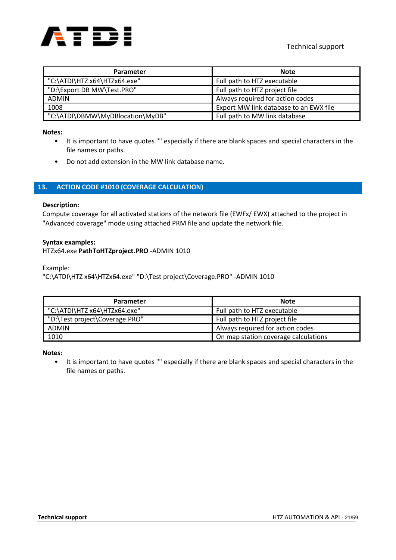

| Parameter                        | <b>Note</b>                            |
|----------------------------------|----------------------------------------|
| "C:\ATDI\HTZ x64\HTZx64.exe"     | Full path to HTZ executable            |
| "D:\Export DB MW\Test.PRO"       | Full path to HTZ project file          |
| <b>ADMIN</b>                     | Always required for action codes       |
| 1008                             | Export MW link database to an EWX file |
| "C:\ATDI\DBMW\MyDBlocation\MyDB" | Full path to MW link database          |

- It is important to have quotes "" especially if there are blank spaces and special characters in the file names or paths.
- Do not add extension in the MW link database name.

### **13. ACTION CODE #1010 (COVERAGE CALCULATION)**

#### **Description:**

Compute coverage for all activated stations of the network file (EWFx/ EWX) attached to the project in "Advanced coverage" mode using attached PRM file and update the network file.

#### **Syntax examples:**

HTZx64.exe **PathToHTZproject.PRO** -ADMIN 1010

Example:

"C:\ATDI\HTZ x64\HTZx64.exe" "D:\Test project\Coverage.PRO" -ADMIN 1010

| Parameter                      | <b>Note</b>                          |
|--------------------------------|--------------------------------------|
| "C:\ATDI\HTZ x64\HTZx64.exe"   | Full path to HTZ executable          |
| "D:\Test project\Coverage.PRO" | Full path to HTZ project file        |
| <b>ADMIN</b>                   | Always required for action codes     |
| 1010                           | On map station coverage calculations |

#### **Notes:**

• It is important to have quotes "" especially if there are blank spaces and special characters in the file names or paths.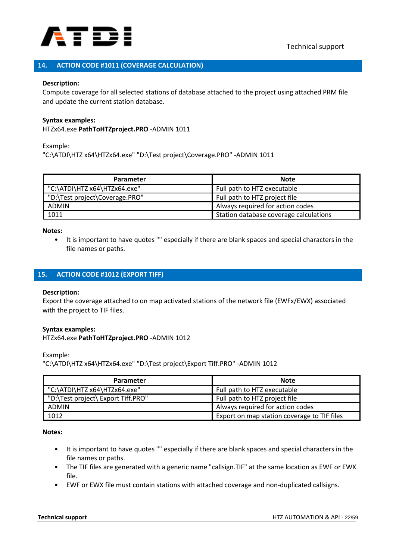

### **14. ACTION CODE #1011 (COVERAGE CALCULATION)**

#### **Description:**

Compute coverage for all selected stations of database attached to the project using attached PRM file and update the current station database.

#### **Syntax examples:**

HTZx64.exe **PathToHTZproject.PRO** -ADMIN 1011

Example:

"C:\ATDI\HTZ x64\HTZx64.exe" "D:\Test project\Coverage.PRO" -ADMIN 1011

| Parameter                      | <b>Note</b>                            |
|--------------------------------|----------------------------------------|
| "C:\ATDI\HTZ x64\HTZx64.exe"   | Full path to HTZ executable            |
| "D:\Test project\Coverage.PRO" | Full path to HTZ project file          |
| <b>ADMIN</b>                   | Always required for action codes       |
| 1011                           | Station database coverage calculations |

**Notes:**

• It is important to have quotes "" especially if there are blank spaces and special characters in the file names or paths.

### **15. ACTION CODE #1012 (EXPORT TIFF)**

#### **Description:**

Export the coverage attached to on map activated stations of the network file (EWFx/EWX) associated with the project to TIF files.

#### **Syntax examples:**

HTZx64.exe **PathToHTZproject.PRO** -ADMIN 1012

Example:

"C:\ATDI\HTZ x64\HTZx64.exe" "D:\Test project\Export Tiff.PRO" -ADMIN 1012

| Parameter                          | <b>Note</b>                                 |
|------------------------------------|---------------------------------------------|
| "C:\ATDI\HTZ x64\HTZx64.exe"       | Full path to HTZ executable                 |
| "D:\Test project\ Export Tiff.PRO" | Full path to HTZ project file               |
| <b>ADMIN</b>                       | Always required for action codes            |
| 1012                               | Export on map station coverage to TIF files |

**Notes:**

- It is important to have quotes "" especially if there are blank spaces and special characters in the file names or paths.
- The TIF files are generated with a generic name "callsign.TIF" at the same location as EWF or EWX file.
- EWF or EWX file must contain stations with attached coverage and non-duplicated callsigns.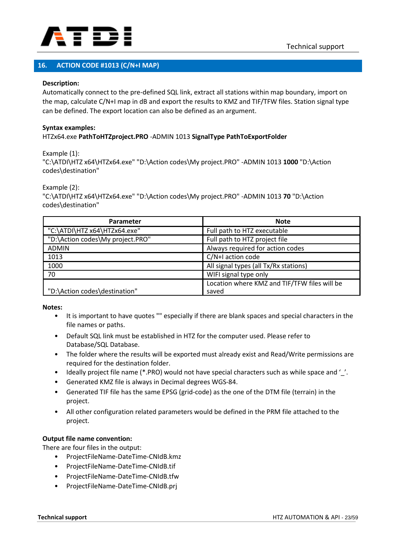

### **16. ACTION CODE #1013 (C/N+I MAP)**

### **Description:**

Automatically connect to the pre-defined SQL link, extract all stations within map boundary, import on the map, calculate C/N+I map in dB and export the results to KMZ and TIF/TFW files. Station signal type can be defined. The export location can also be defined as an argument.

### **Syntax examples:** HTZx64.exe **PathToHTZproject.PRO** -ADMIN 1013 **SignalType PathToExportFolder**

Example (1):

"C:\ATDI\HTZ x64\HTZx64.exe" "D:\Action codes\My project.PRO" -ADMIN 1013 **1000** "D:\Action codes\destination"

Example (2):

"C:\ATDI\HTZ x64\HTZx64.exe" "D:\Action codes\My project.PRO" -ADMIN 1013 **70** "D:\Action codes\destination"

| Parameter                        | <b>Note</b>                                  |
|----------------------------------|----------------------------------------------|
| "C:\ATDI\HTZ x64\HTZx64.exe"     | Full path to HTZ executable                  |
| "D:\Action codes\My project.PRO" | Full path to HTZ project file                |
| <b>ADMIN</b>                     | Always required for action codes             |
| 1013                             | C/N+I action code                            |
| 1000                             | All signal types (all Tx/Rx stations)        |
| 70                               | WIFI signal type only                        |
|                                  | Location where KMZ and TIF/TFW files will be |
| "D:\Action codes\destination"    | saved                                        |

**Notes:**

- It is important to have quotes "" especially if there are blank spaces and special characters in the file names or paths.
- Default SQL link must be established in HTZ for the computer used. Please refer to Database/SQL Database.
- The folder where the results will be exported must already exist and Read/Write permissions are required for the destination folder.
- Ideally project file name (\*.PRO) would not have special characters such as while space and '\_'.
- Generated KMZ file is always in Decimal degrees WGS-84.
- Generated TIF file has the same EPSG (grid-code) as the one of the DTM file (terrain) in the project.
- All other configuration related parameters would be defined in the PRM file attached to the project.

### **Output file name convention:**

There are four files in the output:

- ProjectFileName-DateTime-CNIdB.kmz
- ProjectFileName-DateTime-CNIdB.tif
- ProjectFileName-DateTime-CNIdB.tfw
- ProjectFileName-DateTime-CNIdB.prj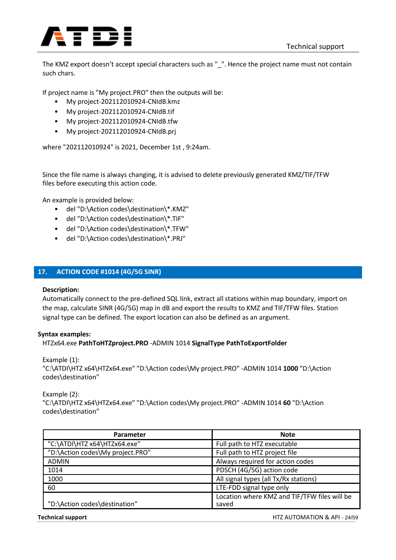

The KMZ export doesn't accept special characters such as "\_". Hence the project name must not contain such chars.

If project name is "My project.PRO" then the outputs will be:

- My project-202112010924-CNIdB.kmz
- My project-202112010924-CNIdB.tif
- My project-202112010924-CNIdB.tfw
- My project-202112010924-CNIdB.prj

where "202112010924" is 2021, December 1st , 9:24am.

Since the file name is always changing, it is advised to delete previously generated KMZ/TIF/TFW files before executing this action code.

An example is provided below:

- del "D:\Action codes\destination\\*.KMZ"
- del "D:\Action codes\destination\\*.TIF"
- del "D:\Action codes\destination\\*.TFW"
- del "D:\Action codes\destination\\*.PRJ"

### **17. ACTION CODE #1014 (4G/5G SINR)**

### **Description:**

Automatically connect to the pre-defined SQL link, extract all stations within map boundary, import on the map, calculate SINR (4G/5G) map in dB and export the results to KMZ and TIF/TFW files. Station signal type can be defined. The export location can also be defined as an argument.

### **Syntax examples:**

HTZx64.exe **PathToHTZproject.PRO** -ADMIN 1014 **SignalType PathToExportFolder**

Example (1):

"C:\ATDI\HTZ x64\HTZx64.exe" "D:\Action codes\My project.PRO" -ADMIN 1014 **1000** "D:\Action codes\destination"

Example (2):

"C:\ATDI\HTZ x64\HTZx64.exe" "D:\Action codes\My project.PRO" -ADMIN 1014 **60** "D:\Action codes\destination"

| Parameter                        | <b>Note</b>                                  |
|----------------------------------|----------------------------------------------|
| "C:\ATDI\HTZ x64\HTZx64.exe"     | Full path to HTZ executable                  |
| "D:\Action codes\My project.PRO" | Full path to HTZ project file                |
| <b>ADMIN</b>                     | Always required for action codes             |
| 1014                             | PDSCH (4G/5G) action code                    |
| 1000                             | All signal types (all Tx/Rx stations)        |
| 60                               | LTE-FDD signal type only                     |
|                                  | Location where KMZ and TIF/TFW files will be |
| "D:\Action codes\destination"    | saved                                        |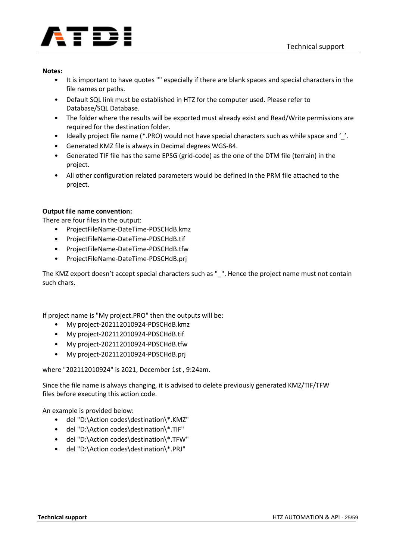

- It is important to have quotes "" especially if there are blank spaces and special characters in the file names or paths.
- Default SQL link must be established in HTZ for the computer used. Please refer to Database/SQL Database.
- The folder where the results will be exported must already exist and Read/Write permissions are required for the destination folder.
- Ideally project file name (\*.PRO) would not have special characters such as while space and '..
- Generated KMZ file is always in Decimal degrees WGS-84.
- Generated TIF file has the same EPSG (grid-code) as the one of the DTM file (terrain) in the project.
- All other configuration related parameters would be defined in the PRM file attached to the project.

### **Output file name convention:**

There are four files in the output:

- ProjectFileName-DateTime-PDSCHdB.kmz
- ProjectFileName-DateTime-PDSCHdB.tif
- ProjectFileName-DateTime-PDSCHdB.tfw
- ProjectFileName-DateTime-PDSCHdB.prj

The KMZ export doesn't accept special characters such as " ". Hence the project name must not contain such chars.

If project name is "My project.PRO" then the outputs will be:

- My project-202112010924-PDSCHdB.kmz
- My project-202112010924-PDSCHdB.tif
- My project-202112010924-PDSCHdB.tfw
- My project-202112010924-PDSCHdB.prj

where "202112010924" is 2021, December 1st , 9:24am.

Since the file name is always changing, it is advised to delete previously generated KMZ/TIF/TFW files before executing this action code.

An example is provided below:

- del "D:\Action codes\destination\\*.KMZ"
- del "D:\Action codes\destination\\*.TIF"
- del "D:\Action codes\destination\\*.TFW"
- del "D:\Action codes\destination\\*.PRJ"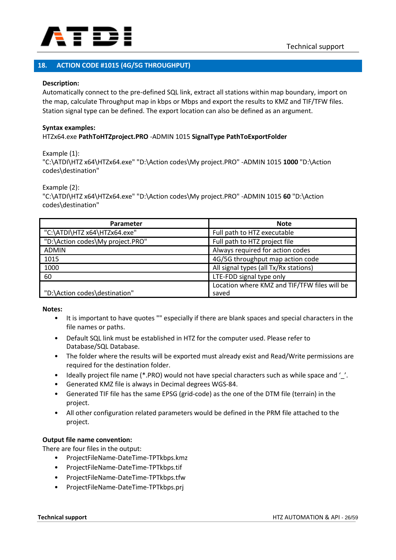

### **18. ACTION CODE #1015 (4G/5G THROUGHPUT)**

### **Description:**

Automatically connect to the pre-defined SQL link, extract all stations within map boundary, import on the map, calculate Throughput map in kbps or Mbps and export the results to KMZ and TIF/TFW files. Station signal type can be defined. The export location can also be defined as an argument.

### **Syntax examples:** HTZx64.exe **PathToHTZproject.PRO** -ADMIN 1015 **SignalType PathToExportFolder**

Example (1):

"C:\ATDI\HTZ x64\HTZx64.exe" "D:\Action codes\My project.PRO" -ADMIN 1015 **1000** "D:\Action codes\destination"

Example (2):

"C:\ATDI\HTZ x64\HTZx64.exe" "D:\Action codes\My project.PRO" -ADMIN 1015 **60** "D:\Action codes\destination"

| Parameter                        | <b>Note</b>                                  |
|----------------------------------|----------------------------------------------|
| "C:\ATDI\HTZ x64\HTZx64.exe"     | Full path to HTZ executable                  |
| "D:\Action codes\My project.PRO" | Full path to HTZ project file                |
| <b>ADMIN</b>                     | Always required for action codes             |
| 1015                             | 4G/5G throughput map action code             |
| 1000                             | All signal types (all Tx/Rx stations)        |
| 60                               | LTE-FDD signal type only                     |
|                                  | Location where KMZ and TIF/TFW files will be |
| "D:\Action codes\destination"    | saved                                        |

**Notes:**

- It is important to have quotes "" especially if there are blank spaces and special characters in the file names or paths.
- Default SQL link must be established in HTZ for the computer used. Please refer to Database/SQL Database.
- The folder where the results will be exported must already exist and Read/Write permissions are required for the destination folder.
- Ideally project file name (\*.PRO) would not have special characters such as while space and '\_'.
- Generated KMZ file is always in Decimal degrees WGS-84.
- Generated TIF file has the same EPSG (grid-code) as the one of the DTM file (terrain) in the project.
- All other configuration related parameters would be defined in the PRM file attached to the project.

### **Output file name convention:**

There are four files in the output:

- ProjectFileName-DateTime-TPTkbps.kmz
- ProjectFileName-DateTime-TPTkbps.tif
- ProjectFileName-DateTime-TPTkbps.tfw
- ProjectFileName-DateTime-TPTkbps.prj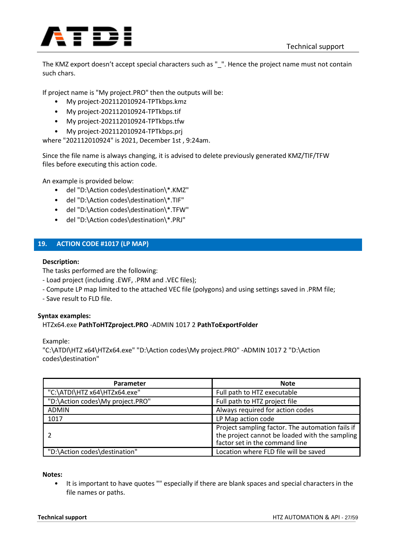

The KMZ export doesn't accept special characters such as "\_". Hence the project name must not contain such chars.

If project name is "My project.PRO" then the outputs will be:

- My project-202112010924-TPTkbps.kmz
- My project-202112010924-TPTkbps.tif
- My project-202112010924-TPTkbps.tfw
- My project-202112010924-TPTkbps.prj

where "202112010924" is 2021, December 1st , 9:24am.

Since the file name is always changing, it is advised to delete previously generated KMZ/TIF/TFW files before executing this action code.

An example is provided below:

- del "D:\Action codes\destination\\*.KMZ"
- del "D:\Action codes\destination\\*.TIF"
- del "D:\Action codes\destination\\*.TFW"
- del "D:\Action codes\destination\\*.PRJ"

### **19. ACTION CODE #1017 (LP MAP)**

### **Description:**

The tasks performed are the following:

- Load project (including .EWF, .PRM and .VEC files);
- Compute LP map limited to the attached VEC file (polygons) and using settings saved in .PRM file;

- Save result to FLD file.

### **Syntax examples:**

### HTZx64.exe **PathToHTZproject.PRO** -ADMIN 1017 2 **PathToExportFolder**

Example:

"C:\ATDI\HTZ x64\HTZx64.exe" "D:\Action codes\My project.PRO" -ADMIN 1017 2 "D:\Action codes\destination"

| Parameter                        | <b>Note</b>                                                                                                                          |
|----------------------------------|--------------------------------------------------------------------------------------------------------------------------------------|
| "C:\ATDI\HTZ x64\HTZx64.exe"     | Full path to HTZ executable                                                                                                          |
| "D:\Action codes\My project.PRO" | Full path to HTZ project file                                                                                                        |
| <b>ADMIN</b>                     | Always required for action codes                                                                                                     |
| 1017                             | LP Map action code                                                                                                                   |
|                                  | Project sampling factor. The automation fails if<br>the project cannot be loaded with the sampling<br>factor set in the command line |
| "D:\Action codes\destination"    | Location where FLD file will be saved                                                                                                |

**Notes:**

• It is important to have quotes "" especially if there are blank spaces and special characters in the file names or paths.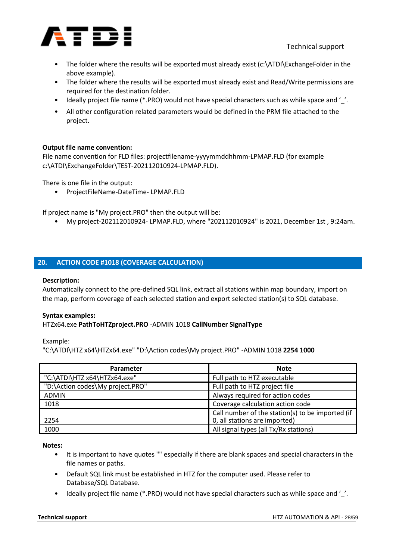

- The folder where the results will be exported must already exist (c:\ATDI\ExchangeFolder in the above example).
- The folder where the results will be exported must already exist and Read/Write permissions are required for the destination folder.
- Ideally project file name (\*.PRO) would not have special characters such as while space and '..
- All other configuration related parameters would be defined in the PRM file attached to the project.

### **Output file name convention:**

File name convention for FLD files: projectfilename-yyyymmddhhmm-LPMAP.FLD (for example c:\ATDI\ExchangeFolder\TEST-202112010924-LPMAP.FLD).

There is one file in the output:

• ProjectFileName-DateTime- LPMAP.FLD

If project name is "My project.PRO" then the output will be:

• My project-202112010924- LPMAP.FLD, where "202112010924" is 2021, December 1st , 9:24am.

### **20. ACTION CODE #1018 (COVERAGE CALCULATION)**

### **Description:**

Automatically connect to the pre-defined SQL link, extract all stations within map boundary, import on the map, perform coverage of each selected station and export selected station(s) to SQL database.

### **Syntax examples:**

### HTZx64.exe **PathToHTZproject.PRO** -ADMIN 1018 **CallNumber SignalType**

Example:

"C:\ATDI\HTZ x64\HTZx64.exe" "D:\Action codes\My project.PRO" -ADMIN 1018 **2254 1000**

| Parameter                        | <b>Note</b>                                      |
|----------------------------------|--------------------------------------------------|
| "C:\ATDI\HTZ x64\HTZx64.exe"     | Full path to HTZ executable                      |
| "D:\Action codes\My project.PRO" | Full path to HTZ project file                    |
| <b>ADMIN</b>                     | Always required for action codes                 |
| 1018                             | Coverage calculation action code                 |
|                                  | Call number of the station(s) to be imported (if |
| 2254                             | 0, all stations are imported)                    |
| 1000                             | All signal types (all Tx/Rx stations)            |

**Notes:**

- It is important to have quotes "" especially if there are blank spaces and special characters in the file names or paths.
- Default SQL link must be established in HTZ for the computer used. Please refer to Database/SQL Database.
- Ideally project file name (\*.PRO) would not have special characters such as while space and '..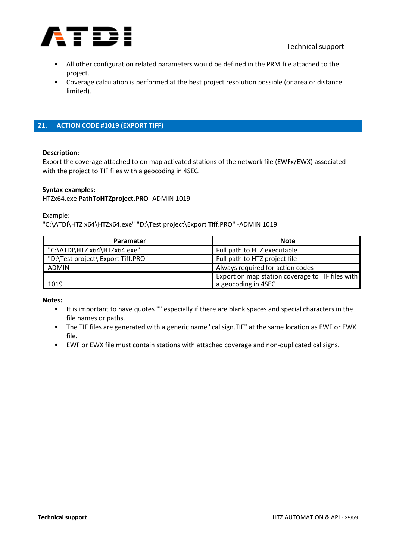

- All other configuration related parameters would be defined in the PRM file attached to the project.
- Coverage calculation is performed at the best project resolution possible (or area or distance limited).

### **21. ACTION CODE #1019 (EXPORT TIFF)**

#### **Description:**

Export the coverage attached to on map activated stations of the network file (EWFx/EWX) associated with the project to TIF files with a geocoding in 4SEC.

#### **Syntax examples:**

### HTZx64.exe **PathToHTZproject.PRO** -ADMIN 1019

Example:

"C:\ATDI\HTZ x64\HTZx64.exe" "D:\Test project\Export Tiff.PRO" -ADMIN 1019

| Parameter                          | <b>Note</b>                                                             |
|------------------------------------|-------------------------------------------------------------------------|
| "C:\ATDI\HTZ x64\HTZx64.exe"       | Full path to HTZ executable                                             |
| "D:\Test project\ Export Tiff.PRO" | Full path to HTZ project file                                           |
| <b>ADMIN</b>                       | Always required for action codes                                        |
| 1019                               | Export on map station coverage to TIF files with<br>a geocoding in 4SEC |

**Notes:**

- It is important to have quotes "" especially if there are blank spaces and special characters in the file names or paths.
- The TIF files are generated with a generic name "callsign.TIF" at the same location as EWF or EWX file.
- EWF or EWX file must contain stations with attached coverage and non-duplicated callsigns.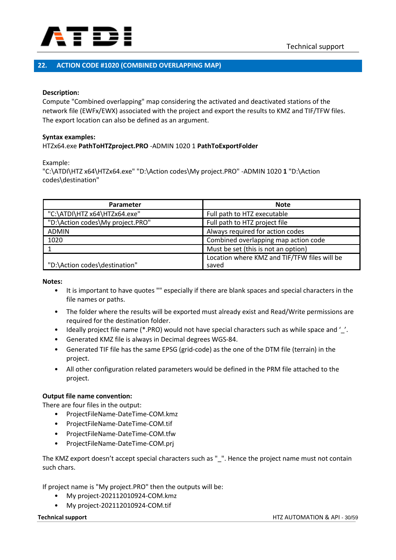

### **22. ACTION CODE #1020 (COMBINED OVERLAPPING MAP)**

#### **Description:**

Compute "Combined overlapping" map considering the activated and deactivated stations of the network file (EWFx/EWX) associated with the project and export the results to KMZ and TIF/TFW files. The export location can also be defined as an argument.

#### **Syntax examples:**

#### HTZx64.exe **PathToHTZproject.PRO** -ADMIN 1020 1 **PathToExportFolder**

Example:

"C:\ATDI\HTZ x64\HTZx64.exe" "D:\Action codes\My project.PRO" -ADMIN 1020 **1** "D:\Action codes\destination"

| Parameter                        | <b>Note</b>                                  |
|----------------------------------|----------------------------------------------|
| "C:\ATDI\HTZ x64\HTZx64.exe"     | Full path to HTZ executable                  |
| "D:\Action codes\My project.PRO" | Full path to HTZ project file                |
| <b>ADMIN</b>                     | Always required for action codes             |
| 1020                             | Combined overlapping map action code         |
|                                  | Must be set (this is not an option)          |
|                                  | Location where KMZ and TIF/TFW files will be |
| "D:\Action codes\destination"    | saved                                        |

**Notes:**

- It is important to have quotes "" especially if there are blank spaces and special characters in the file names or paths.
- The folder where the results will be exported must already exist and Read/Write permissions are required for the destination folder.
- Ideally project file name (\*.PRO) would not have special characters such as while space and '\_'.
- Generated KMZ file is always in Decimal degrees WGS-84.
- Generated TIF file has the same EPSG (grid-code) as the one of the DTM file (terrain) in the project.
- All other configuration related parameters would be defined in the PRM file attached to the project.

### **Output file name convention:**

There are four files in the output:

- ProjectFileName-DateTime-COM.kmz
- ProjectFileName-DateTime-COM.tif
- ProjectFileName-DateTime-COM.tfw
- ProjectFileName-DateTime-COM.prj

The KMZ export doesn't accept special characters such as "\_". Hence the project name must not contain such chars.

If project name is "My project.PRO" then the outputs will be:

- My project-202112010924-COM.kmz
- My project-202112010924-COM.tif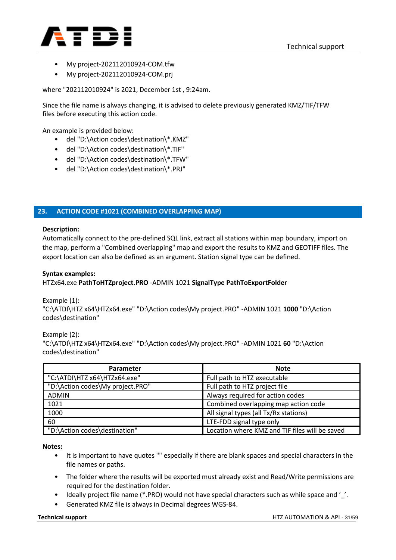

- My project-202112010924-COM.tfw
- My project-202112010924-COM.prj

where "202112010924" is 2021, December 1st , 9:24am.

Since the file name is always changing, it is advised to delete previously generated KMZ/TIF/TFW files before executing this action code.

An example is provided below:

- del "D:\Action codes\destination\\*.KMZ"
- del "D:\Action codes\destination\\*.TIF"
- del "D:\Action codes\destination\\*.TFW"
- del "D:\Action codes\destination\\*.PRJ"

### **23. ACTION CODE #1021 (COMBINED OVERLAPPING MAP)**

#### **Description:**

Automatically connect to the pre-defined SQL link, extract all stations within map boundary, import on the map, perform a "Combined overlapping" map and export the results to KMZ and GEOTIFF files. The export location can also be defined as an argument. Station signal type can be defined.

#### **Syntax examples:**

HTZx64.exe **PathToHTZproject.PRO** -ADMIN 1021 **SignalType PathToExportFolder**

Example (1):

"C:\ATDI\HTZ x64\HTZx64.exe" "D:\Action codes\My project.PRO" -ADMIN 1021 **1000** "D:\Action codes\destination"

Example (2): "C:\ATDI\HTZ x64\HTZx64.exe" "D:\Action codes\My project.PRO" -ADMIN 1021 **60** "D:\Action codes\destination"

| <b>Parameter</b>                 | <b>Note</b>                                    |
|----------------------------------|------------------------------------------------|
| "C:\ATDI\HTZ x64\HTZx64.exe"     | Full path to HTZ executable                    |
| "D:\Action codes\My project.PRO" | Full path to HTZ project file                  |
| <b>ADMIN</b>                     | Always required for action codes               |
| 1021                             | Combined overlapping map action code           |
| 1000                             | All signal types (all Tx/Rx stations)          |
| 60                               | LTE-FDD signal type only                       |
| "D:\Action codes\destination"    | Location where KMZ and TIF files will be saved |

**Notes:**

- It is important to have quotes "" especially if there are blank spaces and special characters in the file names or paths.
- The folder where the results will be exported must already exist and Read/Write permissions are required for the destination folder.
- ldeally project file name (\*.PRO) would not have special characters such as while space and '..
- Generated KMZ file is always in Decimal degrees WGS-84.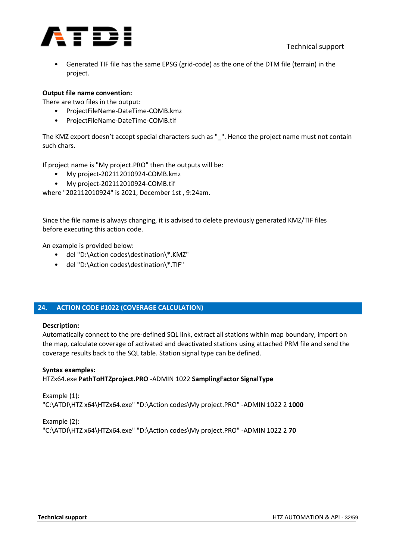

• Generated TIF file has the same EPSG (grid-code) as the one of the DTM file (terrain) in the project.

### **Output file name convention:**

There are two files in the output:

- ProjectFileName-DateTime-COMB.kmz
- ProjectFileName-DateTime-COMB.tif

The KMZ export doesn't accept special characters such as "\_". Hence the project name must not contain such chars.

If project name is "My project.PRO" then the outputs will be:

- My project-202112010924-COMB.kmz
- My project-202112010924-COMB.tif

where "202112010924" is 2021, December 1st , 9:24am.

Since the file name is always changing, it is advised to delete previously generated KMZ/TIF files before executing this action code.

An example is provided below:

- del "D:\Action codes\destination\\*.KMZ"
- del "D:\Action codes\destination\\*.TIF"

### **24. ACTION CODE #1022 (COVERAGE CALCULATION)**

### **Description:**

Automatically connect to the pre-defined SQL link, extract all stations within map boundary, import on the map, calculate coverage of activated and deactivated stations using attached PRM file and send the coverage results back to the SQL table. Station signal type can be defined.

### **Syntax examples:**

HTZx64.exe **PathToHTZproject.PRO** -ADMIN 1022 **SamplingFactor SignalType**

Example (1): "C:\ATDI\HTZ x64\HTZx64.exe" "D:\Action codes\My project.PRO" -ADMIN 1022 2 **1000**

Example (2): "C:\ATDI\HTZ x64\HTZx64.exe" "D:\Action codes\My project.PRO" -ADMIN 1022 2 **70**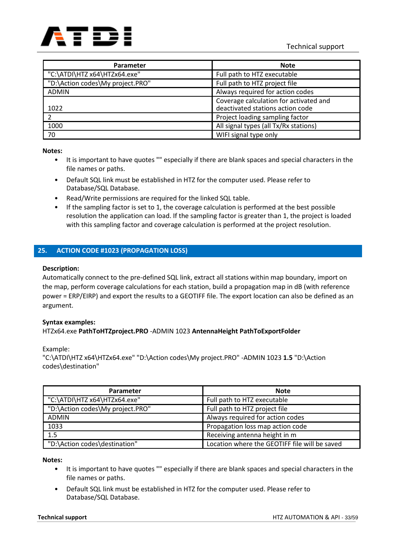

| <b>Parameter</b>                 | <b>Note</b>                                                                |
|----------------------------------|----------------------------------------------------------------------------|
| "C:\ATDI\HTZ x64\HTZx64.exe"     | Full path to HTZ executable                                                |
| "D:\Action codes\My project.PRO" | Full path to HTZ project file                                              |
| <b>ADMIN</b>                     | Always required for action codes                                           |
| 1022                             | Coverage calculation for activated and<br>deactivated stations action code |
|                                  | Project loading sampling factor                                            |
| 1000                             | All signal types (all Tx/Rx stations)                                      |
| 70                               | WIFI signal type only                                                      |

- It is important to have quotes "" especially if there are blank spaces and special characters in the file names or paths.
- Default SQL link must be established in HTZ for the computer used. Please refer to Database/SQL Database.
- Read/Write permissions are required for the linked SQL table.
- If the sampling factor is set to 1, the coverage calculation is performed at the best possible resolution the application can load. If the sampling factor is greater than 1, the project is loaded with this sampling factor and coverage calculation is performed at the project resolution.

### **25. ACTION CODE #1023 (PROPAGATION LOSS)**

### **Description:**

Automatically connect to the pre-defined SQL link, extract all stations within map boundary, import on the map, perform coverage calculations for each station, build a propagation map in dB (with reference power = ERP/EIRP) and export the results to a GEOTIFF file. The export location can also be defined as an argument.

### **Syntax examples:**

HTZx64.exe **PathToHTZproject.PRO** -ADMIN 1023 **AntennaHeight PathToExportFolder**

Example:

"C:\ATDI\HTZ x64\HTZx64.exe" "D:\Action codes\My project.PRO" -ADMIN 1023 **1.5** "D:\Action codes\destination"

| <b>Parameter</b>                 | <b>Note</b>                                   |
|----------------------------------|-----------------------------------------------|
| "C:\ATDI\HTZ x64\HTZx64.exe"     | Full path to HTZ executable                   |
| "D:\Action codes\My project.PRO" | Full path to HTZ project file                 |
| <b>ADMIN</b>                     | Always required for action codes              |
| 1033                             | Propagation loss map action code              |
| 1.5                              | Receiving antenna height in m                 |
| "D:\Action codes\destination"    | Location where the GEOTIFF file will be saved |

**Notes:**

- It is important to have quotes "" especially if there are blank spaces and special characters in the file names or paths.
- Default SQL link must be established in HTZ for the computer used. Please refer to Database/SQL Database.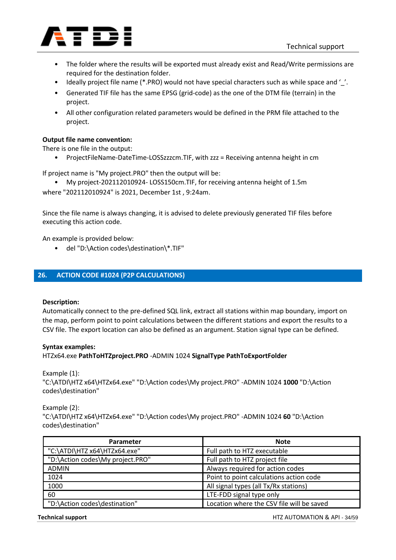

- The folder where the results will be exported must already exist and Read/Write permissions are required for the destination folder.
- Ideally project file name (\*.PRO) would not have special characters such as while space and '\_'.
- Generated TIF file has the same EPSG (grid-code) as the one of the DTM file (terrain) in the project.
- All other configuration related parameters would be defined in the PRM file attached to the project.

### **Output file name convention:**

There is one file in the output:

• ProjectFileName-DateTime-LOSSzzzcm.TIF, with zzz = Receiving antenna height in cm

If project name is "My project.PRO" then the output will be:

• My project-202112010924- LOSS150cm.TIF, for receiving antenna height of 1.5m where "202112010924" is 2021, December 1st , 9:24am.

Since the file name is always changing, it is advised to delete previously generated TIF files before executing this action code.

An example is provided below:

• del "D:\Action codes\destination\\*.TIF"

### **26. ACTION CODE #1024 (P2P CALCULATIONS)**

### **Description:**

Automatically connect to the pre-defined SQL link, extract all stations within map boundary, import on the map, perform point to point calculations between the different stations and export the results to a CSV file. The export location can also be defined as an argument. Station signal type can be defined.

#### **Syntax examples:**

HTZx64.exe **PathToHTZproject.PRO** -ADMIN 1024 **SignalType PathToExportFolder**

Example (1):

"C:\ATDI\HTZ x64\HTZx64.exe" "D:\Action codes\My project.PRO" -ADMIN 1024 **1000** "D:\Action codes\destination"

Example (2):

"C:\ATDI\HTZ x64\HTZx64.exe" "D:\Action codes\My project.PRO" -ADMIN 1024 **60** "D:\Action codes\destination"

| Parameter                        | <b>Note</b>                               |
|----------------------------------|-------------------------------------------|
| "C:\ATDI\HTZ x64\HTZx64.exe"     | Full path to HTZ executable               |
| "D:\Action codes\My project.PRO" | Full path to HTZ project file             |
| ADMIN                            | Always required for action codes          |
| 1024                             | Point to point calculations action code   |
| 1000                             | All signal types (all Tx/Rx stations)     |
| 60                               | LTE-FDD signal type only                  |
| "D:\Action codes\destination"    | Location where the CSV file will be saved |

**Technical support** HTZ AUTOMATION & API - 34/59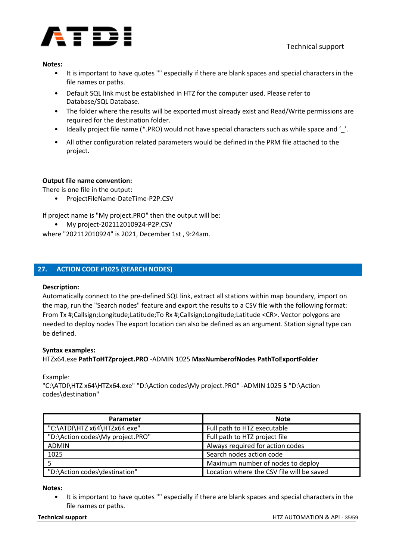

- It is important to have quotes "" especially if there are blank spaces and special characters in the file names or paths.
- Default SQL link must be established in HTZ for the computer used. Please refer to Database/SQL Database.
- The folder where the results will be exported must already exist and Read/Write permissions are required for the destination folder.
- Ideally project file name (\*.PRO) would not have special characters such as while space and '\_'.
- All other configuration related parameters would be defined in the PRM file attached to the project.

### **Output file name convention:**

There is one file in the output:

• ProjectFileName-DateTime-P2P.CSV

If project name is "My project.PRO" then the output will be:

• My project-202112010924-P2P.CSV

where "202112010924" is 2021, December 1st , 9:24am.

### **27. ACTION CODE #1025 (SEARCH NODES)**

### **Description:**

Automatically connect to the pre-defined SQL link, extract all stations within map boundary, import on the map, run the "Search nodes" feature and export the results to a CSV file with the following format: From Tx #;Callsign;Longitude;Latitude;To Rx #;Callsign;Longitude;Latitude <CR>. Vector polygons are needed to deploy nodes The export location can also be defined as an argument. Station signal type can be defined.

### **Syntax examples:**

HTZx64.exe **PathToHTZproject.PRO** -ADMIN 1025 **MaxNumberofNodes PathToExportFolder**

Example:

"C:\ATDI\HTZ x64\HTZx64.exe" "D:\Action codes\My project.PRO" -ADMIN 1025 **5** "D:\Action codes\destination"

| Parameter                        | <b>Note</b>                               |
|----------------------------------|-------------------------------------------|
| "C:\ATDI\HTZ x64\HTZx64.exe"     | Full path to HTZ executable               |
| "D:\Action codes\My project.PRO" | Full path to HTZ project file             |
| <b>ADMIN</b>                     | Always required for action codes          |
| 1025                             | Search nodes action code                  |
|                                  | Maximum number of nodes to deploy         |
| "D:\Action codes\destination"    | Location where the CSV file will be saved |

#### **Notes:**

• It is important to have quotes "" especially if there are blank spaces and special characters in the file names or paths.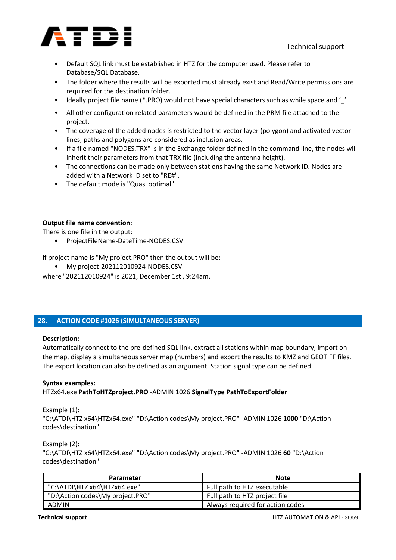

- Default SQL link must be established in HTZ for the computer used. Please refer to Database/SQL Database.
- The folder where the results will be exported must already exist and Read/Write permissions are required for the destination folder.
- Ideally project file name (\*.PRO) would not have special characters such as while space and '..
- All other configuration related parameters would be defined in the PRM file attached to the project.
- The coverage of the added nodes is restricted to the vector layer (polygon) and activated vector lines, paths and polygons are considered as inclusion areas.
- If a file named "NODES.TRX" is in the Exchange folder defined in the command line, the nodes will inherit their parameters from that TRX file (including the antenna height).
- The connections can be made only between stations having the same Network ID. Nodes are added with a Network ID set to "RE#".
- The default mode is "Quasi optimal".

### **Output file name convention:**

There is one file in the output:

• ProjectFileName-DateTime-NODES.CSV

If project name is "My project.PRO" then the output will be:

• My project-202112010924-NODES.CSV

where "202112010924" is 2021, December 1st , 9:24am.

### **28. ACTION CODE #1026 (SIMULTANEOUS SERVER)**

### **Description:**

Automatically connect to the pre-defined SQL link, extract all stations within map boundary, import on the map, display a simultaneous server map (numbers) and export the results to KMZ and GEOTIFF files. The export location can also be defined as an argument. Station signal type can be defined.

### **Syntax examples:**

HTZx64.exe **PathToHTZproject.PRO** -ADMIN 1026 **SignalType PathToExportFolder**

### Example (1):

"C:\ATDI\HTZ x64\HTZx64.exe" "D:\Action codes\My project.PRO" -ADMIN 1026 **1000** "D:\Action codes\destination"

### Example (2):

"C:\ATDI\HTZ x64\HTZx64.exe" "D:\Action codes\My project.PRO" -ADMIN 1026 **60** "D:\Action codes\destination"

| Parameter                        | <b>Note</b>                      |
|----------------------------------|----------------------------------|
| "C:\ATDI\HTZ x64\HTZx64.exe"     | Full path to HTZ executable      |
| "D:\Action codes\My project.PRO" | Full path to HTZ project file    |
| <b>ADMIN</b>                     | Always required for action codes |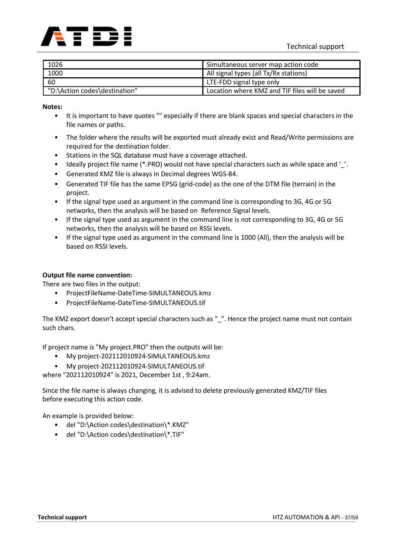

| 1026                          | Simultaneous server map action code            |
|-------------------------------|------------------------------------------------|
| 1000                          | All signal types (all Tx/Rx stations)          |
| 60                            | LTE-FDD signal type only                       |
| "D:\Action codes\destination" | Location where KMZ and TIF files will be saved |

- It is important to have quotes "" especially if there are blank spaces and special characters in the file names or paths.
- The folder where the results will be exported must already exist and Read/Write permissions are required for the destination folder.
- Stations in the SQL database must have a coverage attached.
- Ideally project file name (\*.PRO) would not have special characters such as while space and '\_'.
- Generated KMZ file is always in Decimal degrees WGS-84.
- Generated TIF file has the same EPSG (grid-code) as the one of the DTM file (terrain) in the project.
- If the signal type used as argument in the command line is corresponding to 3G, 4G or 5G networks, then the analysis will be based on Reference Signal levels.
- If the signal type used as argument in the command line is not corresponding to 3G, 4G or 5G networks, then the analysis will be based on RSSI levels.
- If the signal type used as argument in the command line is 1000 (All), then the analysis will be based on RSSI levels.

### **Output file name convention:**

There are two files in the output:

- ProjectFileName-DateTime-SIMULTANEOUS.kmz
- ProjectFileName-DateTime-SIMULTANEOUS.tif

The KMZ export doesn't accept special characters such as " ". Hence the project name must not contain such chars.

If project name is "My project.PRO" then the outputs will be:

- My project-202112010924-SIMULTANEOUS.kmz
- My project-202112010924-SIMULTANEOUS.tif

where "202112010924" is 2021, December 1st , 9:24am.

Since the file name is always changing, it is advised to delete previously generated KMZ/TIF files before executing this action code.

An example is provided below:

- del "D:\Action codes\destination\\*.KMZ"
- del "D:\Action codes\destination\\*.TIF"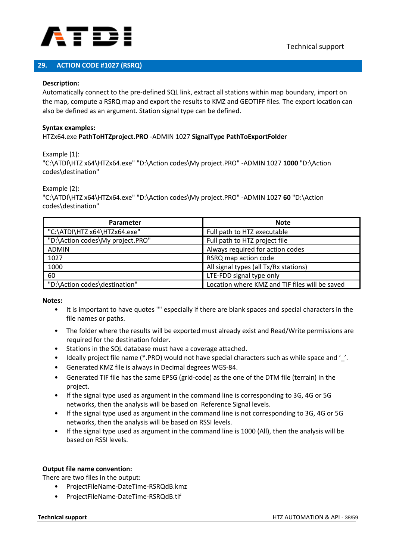

### **29. ACTION CODE #1027 (RSRQ)**

#### **Description:**

Automatically connect to the pre-defined SQL link, extract all stations within map boundary, import on the map, compute a RSRQ map and export the results to KMZ and GEOTIFF files. The export location can also be defined as an argument. Station signal type can be defined.

#### **Syntax examples:** HTZx64.exe **PathToHTZproject.PRO** -ADMIN 1027 **SignalType PathToExportFolder**

Example (1):

"C:\ATDI\HTZ x64\HTZx64.exe" "D:\Action codes\My project.PRO" -ADMIN 1027 **1000** "D:\Action codes\destination"

Example (2):

"C:\ATDI\HTZ x64\HTZx64.exe" "D:\Action codes\My project.PRO" -ADMIN 1027 **60** "D:\Action codes\destination"

| Parameter                        | <b>Note</b>                                    |
|----------------------------------|------------------------------------------------|
| "C:\ATDI\HTZ x64\HTZx64.exe"     | Full path to HTZ executable                    |
| "D:\Action codes\My project.PRO" | Full path to HTZ project file                  |
| <b>ADMIN</b>                     | Always required for action codes               |
| 1027                             | RSRQ map action code                           |
| 1000                             | All signal types (all Tx/Rx stations)          |
| 60                               | LTE-FDD signal type only                       |
| "D:\Action codes\destination"    | Location where KMZ and TIF files will be saved |

**Notes:**

- It is important to have quotes "" especially if there are blank spaces and special characters in the file names or paths.
- The folder where the results will be exported must already exist and Read/Write permissions are required for the destination folder.
- Stations in the SQL database must have a coverage attached.
- ldeally project file name (\*.PRO) would not have special characters such as while space and '..
- Generated KMZ file is always in Decimal degrees WGS-84.
- Generated TIF file has the same EPSG (grid-code) as the one of the DTM file (terrain) in the project.
- If the signal type used as argument in the command line is corresponding to 3G, 4G or 5G networks, then the analysis will be based on Reference Signal levels.
- If the signal type used as argument in the command line is not corresponding to 3G, 4G or 5G networks, then the analysis will be based on RSSI levels.
- If the signal type used as argument in the command line is 1000 (All), then the analysis will be based on RSSI levels.

### **Output file name convention:**

There are two files in the output:

- ProjectFileName-DateTime-RSRQdB.kmz
- ProjectFileName-DateTime-RSRQdB.tif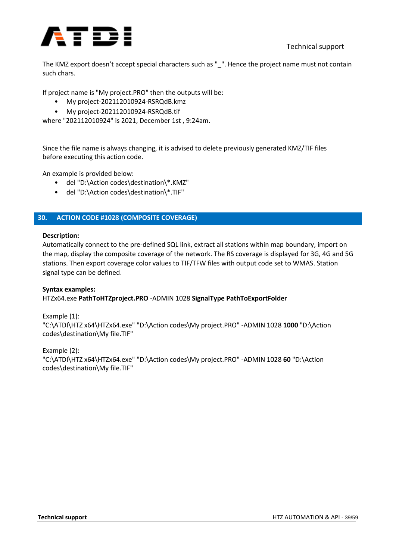

The KMZ export doesn't accept special characters such as "\_". Hence the project name must not contain such chars.

If project name is "My project.PRO" then the outputs will be:

- My project-202112010924-RSRQdB.kmz
- My project-202112010924-RSRQdB.tif

where "202112010924" is 2021, December 1st , 9:24am.

Since the file name is always changing, it is advised to delete previously generated KMZ/TIF files before executing this action code.

An example is provided below:

- del "D:\Action codes\destination\\*.KMZ"
- del "D:\Action codes\destination\\*.TIF"

### **30. ACTION CODE #1028 (COMPOSITE COVERAGE)**

### **Description:**

Automatically connect to the pre-defined SQL link, extract all stations within map boundary, import on the map, display the composite coverage of the network. The RS coverage is displayed for 3G, 4G and 5G stations. Then export coverage color values to TIF/TFW files with output code set to WMAS. Station signal type can be defined.

### **Syntax examples:**

HTZx64.exe **PathToHTZproject.PRO** -ADMIN 1028 **SignalType PathToExportFolder**

Example (1):

"C:\ATDI\HTZ x64\HTZx64.exe" "D:\Action codes\My project.PRO" -ADMIN 1028 **1000** "D:\Action codes\destination\My file.TIF"

Example (2): "C:\ATDI\HTZ x64\HTZx64.exe" "D:\Action codes\My project.PRO" -ADMIN 1028 **60** "D:\Action codes\destination\My file.TIF"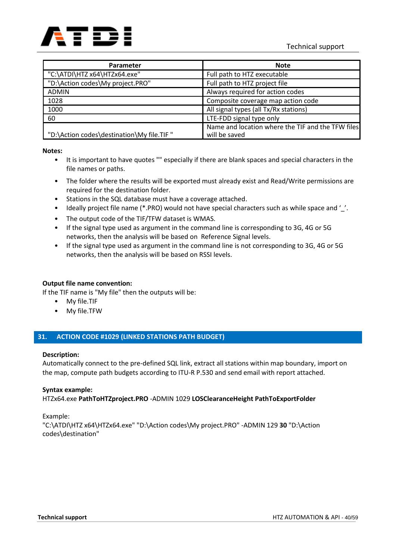

| <b>Parameter</b>                          | <b>Note</b>                                                        |
|-------------------------------------------|--------------------------------------------------------------------|
| "C:\ATDI\HTZ x64\HTZx64.exe"              | Full path to HTZ executable                                        |
| "D:\Action codes\My project.PRO"          | Full path to HTZ project file                                      |
| <b>ADMIN</b>                              | Always required for action codes                                   |
| 1028                                      | Composite coverage map action code                                 |
| 1000                                      | All signal types (all Tx/Rx stations)                              |
| 60                                        | LTE-FDD signal type only                                           |
| "D:\Action codes\destination\My file.TIF" | Name and location where the TIF and the TFW files<br>will be saved |

- It is important to have quotes "" especially if there are blank spaces and special characters in the file names or paths.
- The folder where the results will be exported must already exist and Read/Write permissions are required for the destination folder.
- Stations in the SQL database must have a coverage attached.
- Ideally project file name (\*.PRO) would not have special characters such as while space and ''.
- The output code of the TIF/TFW dataset is WMAS.
- If the signal type used as argument in the command line is corresponding to 3G, 4G or 5G networks, then the analysis will be based on Reference Signal levels.
- If the signal type used as argument in the command line is not corresponding to 3G, 4G or 5G networks, then the analysis will be based on RSSI levels.

### **Output file name convention:**

If the TIF name is "My file" then the outputs will be:

- My file.TIF
- My file.TFW

### **31. ACTION CODE #1029 (LINKED STATIONS PATH BUDGET)**

### **Description:**

Automatically connect to the pre-defined SQL link, extract all stations within map boundary, import on the map, compute path budgets according to ITU-R P.530 and send email with report attached.

### **Syntax example:**

HTZx64.exe **PathToHTZproject.PRO** -ADMIN 1029 **LOSClearanceHeight PathToExportFolder**

Example:

"C:\ATDI\HTZ x64\HTZx64.exe" "D:\Action codes\My project.PRO" -ADMIN 129 **30** "D:\Action codes\destination"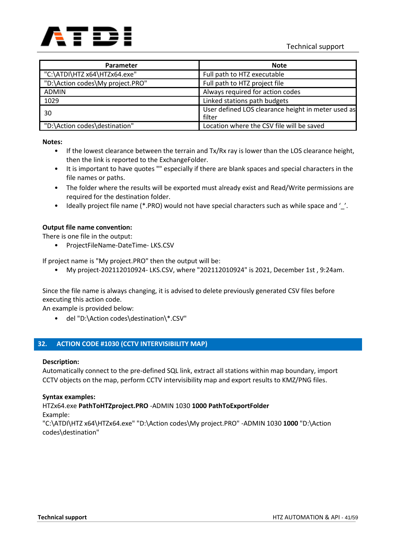

| Parameter                        | <b>Note</b>                                                  |
|----------------------------------|--------------------------------------------------------------|
| "C:\ATDI\HTZ x64\HTZx64.exe"     | Full path to HTZ executable                                  |
| "D:\Action codes\My project.PRO" | Full path to HTZ project file                                |
| <b>ADMIN</b>                     | Always required for action codes                             |
| 1029                             | Linked stations path budgets                                 |
| 30                               | User defined LOS clearance height in meter used as<br>filter |
| "D:\Action codes\destination"    | Location where the CSV file will be saved                    |

- If the lowest clearance between the terrain and Tx/Rx ray is lower than the LOS clearance height, then the link is reported to the ExchangeFolder.
- It is important to have quotes "" especially if there are blank spaces and special characters in the file names or paths.
- The folder where the results will be exported must already exist and Read/Write permissions are required for the destination folder.
- Ideally project file name (\*.PRO) would not have special characters such as while space and '\_'.

### **Output file name convention:**

There is one file in the output:

• ProjectFileName-DateTime- LKS.CSV

If project name is "My project.PRO" then the output will be:

• My project-202112010924- LKS.CSV, where "202112010924" is 2021, December 1st , 9:24am.

Since the file name is always changing, it is advised to delete previously generated CSV files before executing this action code.

An example is provided below:

• del "D:\Action codes\destination\\*.CSV"

### **32. ACTION CODE #1030 (CCTV INTERVISIBILITY MAP)**

### **Description:**

Automatically connect to the pre-defined SQL link, extract all stations within map boundary, import CCTV objects on the map, perform CCTV intervisibility map and export results to KMZ/PNG files.

### **Syntax examples:**

HTZx64.exe **PathToHTZproject.PRO** -ADMIN 1030 **1000 PathToExportFolder**

Example:

"C:\ATDI\HTZ x64\HTZx64.exe" "D:\Action codes\My project.PRO" -ADMIN 1030 **1000** "D:\Action codes\destination"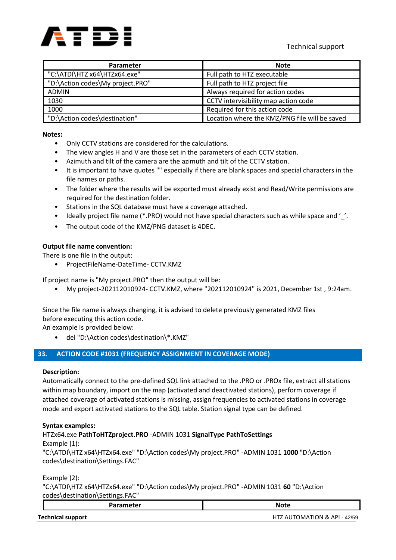

| Parameter                        | <b>Note</b>                                   |
|----------------------------------|-----------------------------------------------|
| "C:\ATDI\HTZ x64\HTZx64.exe"     | Full path to HTZ executable                   |
| "D:\Action codes\My project.PRO" | Full path to HTZ project file                 |
| <b>ADMIN</b>                     | Always required for action codes              |
| 1030                             | CCTV intervisibility map action code          |
| 1000                             | Required for this action code                 |
| "D:\Action codes\destination"    | Location where the KMZ/PNG file will be saved |

- Only CCTV stations are considered for the calculations.
- The view angles H and V are those set in the parameters of each CCTV station.
- Azimuth and tilt of the camera are the azimuth and tilt of the CCTV station.
- It is important to have quotes "" especially if there are blank spaces and special characters in the file names or paths.
- The folder where the results will be exported must already exist and Read/Write permissions are required for the destination folder.
- Stations in the SQL database must have a coverage attached.
- Ideally project file name (\*.PRO) would not have special characters such as while space and '\_'.
- The output code of the KMZ/PNG dataset is 4DEC.

### **Output file name convention:**

There is one file in the output:

• ProjectFileName-DateTime- CCTV.KMZ

If project name is "My project.PRO" then the output will be:

• My project-202112010924- CCTV.KMZ, where "202112010924" is 2021, December 1st , 9:24am.

Since the file name is always changing, it is advised to delete previously generated KMZ files before executing this action code.

An example is provided below:

• del "D:\Action codes\destination\\*.KMZ"

### **33. ACTION CODE #1031 (FREQUENCY ASSIGNMENT IN COVERAGE MODE)**

### **Description:**

Automatically connect to the pre-defined SQL link attached to the .PRO or .PROx file, extract all stations within map boundary, import on the map (activated and deactivated stations), perform coverage if attached coverage of activated stations is missing, assign frequencies to activated stations in coverage mode and export activated stations to the SQL table. Station signal type can be defined.

### **Syntax examples:**

HTZx64.exe **PathToHTZproject.PRO** -ADMIN 1031 **SignalType PathToSettings** Example (1): "C:\ATDI\HTZ x64\HTZx64.exe" "D:\Action codes\My project.PRO" -ADMIN 1031 **1000** "D:\Action codes\destination\Settings.FAC"

Example (2):

"C:\ATDI\HTZ x64\HTZx64.exe" "D:\Action codes\My project.PRO" -ADMIN 1031 **60** "D:\Action codes\destination\Settings.FAC"

| <b>Parameter</b>    | <b>Note</b>                                                   |
|---------------------|---------------------------------------------------------------|
| Taalaataal amaa aab | $1177 \lambda 1170 \lambda 11710 \lambda 10 \lambda 01 10170$ |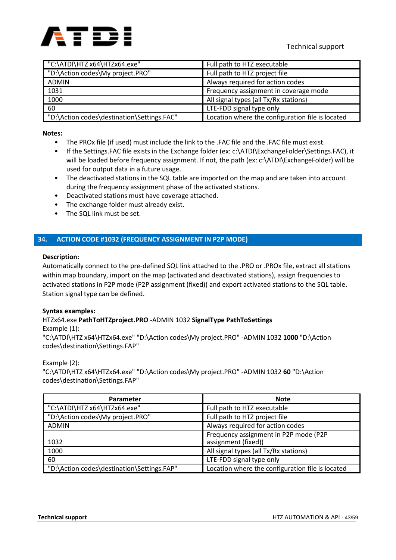

| "C:\ATDI\HTZ x64\HTZx64.exe"               | Full path to HTZ executable                      |
|--------------------------------------------|--------------------------------------------------|
| "D:\Action codes\My project.PRO"           | Full path to HTZ project file                    |
| <b>ADMIN</b>                               | Always required for action codes                 |
| 1031                                       | Frequency assignment in coverage mode            |
| 1000                                       | All signal types (all Tx/Rx stations)            |
| 60                                         | LTE-FDD signal type only                         |
| "D:\Action codes\destination\Settings.FAC" | Location where the configuration file is located |

- The PROx file (if used) must include the link to the .FAC file and the .FAC file must exist.
- If the Settings.FAC file exists in the Exchange folder (ex: c:\ATDI\ExchangeFolder\Settings.FAC), it will be loaded before frequency assignment. If not, the path (ex: c:\ATDI\ExchangeFolder) will be used for output data in a future usage.
- The deactivated stations in the SQL table are imported on the map and are taken into account during the frequency assignment phase of the activated stations.
- Deactivated stations must have coverage attached.
- The exchange folder must already exist.
- The SQL link must be set.

### **34. ACTION CODE #1032 (FREQUENCY ASSIGNMENT IN P2P MODE)**

#### **Description:**

Automatically connect to the pre-defined SQL link attached to the .PRO or .PROx file, extract all stations within map boundary, import on the map (activated and deactivated stations), assign frequencies to activated stations in P2P mode (P2P assignment (fixed)) and export activated stations to the SQL table. Station signal type can be defined.

### **Syntax examples:**

### HTZx64.exe **PathToHTZproject.PRO** -ADMIN 1032 **SignalType PathToSettings**

#### Example (1):

"C:\ATDI\HTZ x64\HTZx64.exe" "D:\Action codes\My project.PRO" -ADMIN 1032 **1000** "D:\Action codes\destination\Settings.FAP"

### Example (2):

"C:\ATDI\HTZ x64\HTZx64.exe" "D:\Action codes\My project.PRO" -ADMIN 1032 **60** "D:\Action codes\destination\Settings.FAP"

| Parameter                                  | <b>Note</b>                                                  |
|--------------------------------------------|--------------------------------------------------------------|
| "C:\ATDI\HTZ x64\HTZx64.exe"               | Full path to HTZ executable                                  |
| "D:\Action codes\My project.PRO"           | Full path to HTZ project file                                |
| <b>ADMIN</b>                               | Always required for action codes                             |
| 1032                                       | Frequency assignment in P2P mode (P2P<br>assignment (fixed)) |
| 1000                                       | All signal types (all Tx/Rx stations)                        |
| 60                                         | LTE-FDD signal type only                                     |
| "D:\Action codes\destination\Settings.FAP" | Location where the configuration file is located             |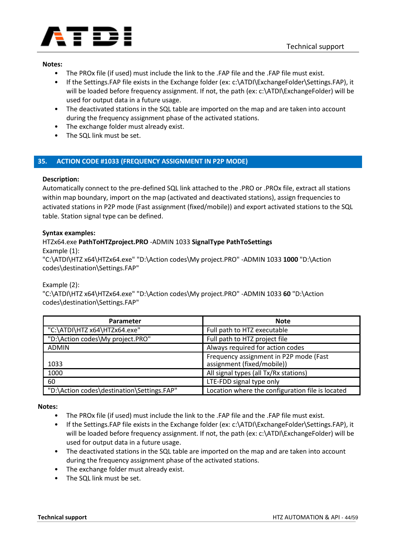

- The PROx file (if used) must include the link to the .FAP file and the .FAP file must exist.
- If the Settings.FAP file exists in the Exchange folder (ex: c:\ATDI\ExchangeFolder\Settings.FAP), it will be loaded before frequency assignment. If not, the path (ex: c:\ATDI\ExchangeFolder) will be used for output data in a future usage.
- The deactivated stations in the SQL table are imported on the map and are taken into account during the frequency assignment phase of the activated stations.
- The exchange folder must already exist.
- The SQL link must be set.

### **35. ACTION CODE #1033 (FREQUENCY ASSIGNMENT IN P2P MODE)**

### **Description:**

Automatically connect to the pre-defined SQL link attached to the .PRO or .PROx file, extract all stations within map boundary, import on the map (activated and deactivated stations), assign frequencies to activated stations in P2P mode (Fast assignment (fixed/mobile)) and export activated stations to the SQL table. Station signal type can be defined.

#### **Syntax examples:**

### HTZx64.exe **PathToHTZproject.PRO** -ADMIN 1033 **SignalType PathToSettings**

Example (1):

"C:\ATDI\HTZ x64\HTZx64.exe" "D:\Action codes\My project.PRO" -ADMIN 1033 **1000** "D:\Action codes\destination\Settings.FAP"

### Example (2):

"C:\ATDI\HTZ x64\HTZx64.exe" "D:\Action codes\My project.PRO" -ADMIN 1033 **60** "D:\Action codes\destination\Settings.FAP"

| <b>Parameter</b>                           | <b>Note</b>                                                          |
|--------------------------------------------|----------------------------------------------------------------------|
| "C:\ATDI\HTZ x64\HTZx64.exe"               | Full path to HTZ executable                                          |
| "D:\Action codes\My project.PRO"           | Full path to HTZ project file                                        |
| <b>ADMIN</b>                               | Always required for action codes                                     |
| 1033                                       | Frequency assignment in P2P mode (Fast<br>assignment (fixed/mobile)) |
| 1000                                       | All signal types (all Tx/Rx stations)                                |
| 60                                         | LTE-FDD signal type only                                             |
| "D:\Action codes\destination\Settings.FAP" | Location where the configuration file is located                     |

#### **Notes:**

- The PROx file (if used) must include the link to the .FAP file and the .FAP file must exist.
- If the Settings.FAP file exists in the Exchange folder (ex: c:\ATDI\ExchangeFolder\Settings.FAP), it will be loaded before frequency assignment. If not, the path (ex: c:\ATDI\ExchangeFolder) will be used for output data in a future usage.
- The deactivated stations in the SQL table are imported on the map and are taken into account during the frequency assignment phase of the activated stations.
- The exchange folder must already exist.
- The SQL link must be set.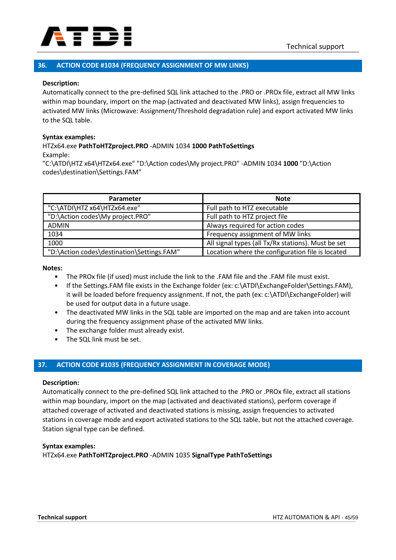

### **36. ACTION CODE #1034 (FREQUENCY ASSIGNMENT OF MW LINKS)**

#### **Description:**

Automatically connect to the pre-defined SQL link attached to the .PRO or .PROx file, extract all MW links within map boundary, import on the map (activated and deactivated MW links), assign frequencies to activated MW links (Microwave: Assignment/Threshold degradation rule) and export activated MW links to the SQL table.

#### **Syntax examples:**

# HTZx64.exe **PathToHTZproject.PRO** -ADMIN 1034 **1000 PathToSettings**

Example:

"C:\ATDI\HTZ x64\HTZx64.exe" "D:\Action codes\My project.PRO" -ADMIN 1034 **1000** "D:\Action codes\destination\Settings.FAM"

| Parameter                                  | <b>Note</b>                                        |
|--------------------------------------------|----------------------------------------------------|
| "C:\ATDI\HTZ x64\HTZx64.exe"               | Full path to HTZ executable                        |
| "D:\Action codes\My project.PRO"           | Full path to HTZ project file                      |
| <b>ADMIN</b>                               | Always required for action codes                   |
| 1034                                       | Frequency assignment of MW links                   |
| 1000                                       | All signal types (all Tx/Rx stations). Must be set |
| "D:\Action codes\destination\Settings.FAM" | Location where the configuration file is located   |

**Notes:**

- The PROx file (if used) must include the link to the .FAM file and the .FAM file must exist.
- If the Settings.FAM file exists in the Exchange folder (ex: c:\ATDI\ExchangeFolder\Settings.FAM), it will be loaded before frequency assignment. If not, the path (ex: c:\ATDI\ExchangeFolder) will be used for output data in a future usage.
- The deactivated MW links in the SQL table are imported on the map and are taken into account during the frequency assignment phase of the activated MW links.
- The exchange folder must already exist.
- The SQL link must be set.

### **37. ACTION CODE #1035 (FREQUENCY ASSIGNMENT IN COVERAGE MODE)**

#### **Description:**

Automatically connect to the pre-defined SQL link attached to the .PRO or .PROx file, extract all stations within map boundary, import on the map (activated and deactivated stations), perform coverage if attached coverage of activated and deactivated stations is missing, assign frequencies to activated stations in coverage mode and export activated stations to the SQL table, but not the attached coverage. Station signal type can be defined.

#### **Syntax examples:**

HTZx64.exe **PathToHTZproject.PRO** -ADMIN 1035 **SignalType PathToSettings**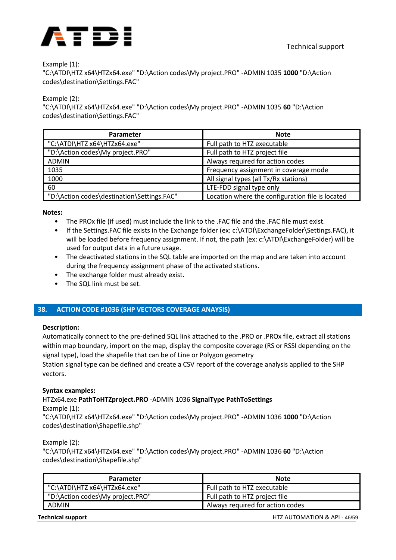

### Example (1):

"C:\ATDI\HTZ x64\HTZx64.exe" "D:\Action codes\My project.PRO" -ADMIN 1035 **1000** "D:\Action codes\destination\Settings.FAC"

Example (2):

"C:\ATDI\HTZ x64\HTZx64.exe" "D:\Action codes\My project.PRO" -ADMIN 1035 **60** "D:\Action codes\destination\Settings.FAC"

| Parameter                                  | <b>Note</b>                                      |
|--------------------------------------------|--------------------------------------------------|
| "C:\ATDI\HTZ x64\HTZx64.exe"               | Full path to HTZ executable                      |
| "D:\Action codes\My project.PRO"           | Full path to HTZ project file                    |
| <b>ADMIN</b>                               | Always required for action codes                 |
| 1035                                       | Frequency assignment in coverage mode            |
| 1000                                       | All signal types (all Tx/Rx stations)            |
| 60                                         | LTE-FDD signal type only                         |
| "D:\Action codes\destination\Settings.FAC" | Location where the configuration file is located |

**Notes:**

- The PROx file (if used) must include the link to the .FAC file and the .FAC file must exist.
- If the Settings.FAC file exists in the Exchange folder (ex: c:\ATDI\ExchangeFolder\Settings.FAC), it will be loaded before frequency assignment. If not, the path (ex: c:\ATDI\ExchangeFolder) will be used for output data in a future usage.
- The deactivated stations in the SQL table are imported on the map and are taken into account during the frequency assignment phase of the activated stations.
- The exchange folder must already exist.
- The SQL link must be set.

### **38. ACTION CODE #1036 (SHP VECTORS COVERAGE ANAYSIS)**

### **Description:**

Automatically connect to the pre-defined SQL link attached to the .PRO or .PROx file, extract all stations within map boundary, import on the map, display the composite coverage (RS or RSSI depending on the signal type), load the shapefile that can be of Line or Polygon geometry

Station signal type can be defined and create a CSV report of the coverage analysis applied to the SHP vectors.

### **Syntax examples:**

### HTZx64.exe **PathToHTZproject.PRO** -ADMIN 1036 **SignalType PathToSettings**

Example (1):

"C:\ATDI\HTZ x64\HTZx64.exe" "D:\Action codes\My project.PRO" -ADMIN 1036 **1000** "D:\Action codes\destination\Shapefile.shp"

### Example (2):

"C:\ATDI\HTZ x64\HTZx64.exe" "D:\Action codes\My project.PRO" -ADMIN 1036 **60** "D:\Action codes\destination\Shapefile.shp"

| Parameter                        | <b>Note</b>                      |
|----------------------------------|----------------------------------|
| "C:\ATDI\HTZ x64\HTZx64.exe"     | Full path to HTZ executable      |
| "D:\Action codes\My project.PRO" | Full path to HTZ project file    |
| <b>ADMIN</b>                     | Always required for action codes |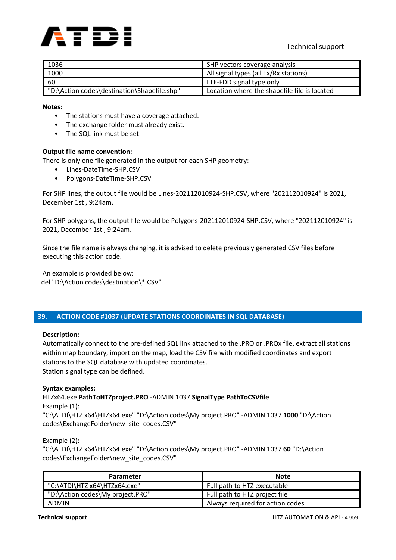

| 1036                                        | SHP vectors coverage analysis                |
|---------------------------------------------|----------------------------------------------|
| 1000                                        | All signal types (all Tx/Rx stations)        |
| 60                                          | LTE-FDD signal type only                     |
| "D:\Action codes\destination\Shapefile.shp" | Location where the shapefile file is located |

- The stations must have a coverage attached.
- The exchange folder must already exist.
- The SQL link must be set.

### **Output file name convention:**

There is only one file generated in the output for each SHP geometry:

- Lines-DateTime-SHP.CSV
- Polygons-DateTime-SHP.CSV

For SHP lines, the output file would be Lines-202112010924-SHP.CSV, where "202112010924" is 2021, December 1st , 9:24am.

For SHP polygons, the output file would be Polygons-202112010924-SHP.CSV, where "202112010924" is 2021, December 1st , 9:24am.

Since the file name is always changing, it is advised to delete previously generated CSV files before executing this action code.

An example is provided below: del "D:\Action codes\destination\\*.CSV"

### **39. ACTION CODE #1037 (UPDATE STATIONS COORDINATES IN SQL DATABASE)**

### **Description:**

Automatically connect to the pre-defined SQL link attached to the .PRO or .PROx file, extract all stations within map boundary, import on the map, load the CSV file with modified coordinates and export stations to the SQL database with updated coordinates.

Station signal type can be defined.

### **Syntax examples:**

HTZx64.exe **PathToHTZproject.PRO** -ADMIN 1037 **SignalType PathToCSVfile** Example (1): "C:\ATDI\HTZ x64\HTZx64.exe" "D:\Action codes\My project.PRO" -ADMIN 1037 **1000** "D:\Action

codes\ExchangeFolder\new\_site\_codes.CSV"

Example (2):

"C:\ATDI\HTZ x64\HTZx64.exe" "D:\Action codes\My project.PRO" -ADMIN 1037 **60** "D:\Action codes\ExchangeFolder\new\_site\_codes.CSV"

| Parameter                        | <b>Note</b>                      |
|----------------------------------|----------------------------------|
| "C:\ATDI\HTZ x64\HTZx64.exe"     | Full path to HTZ executable      |
| "D:\Action codes\My project.PRO" | Full path to HTZ project file    |
| <b>ADMIN</b>                     | Always required for action codes |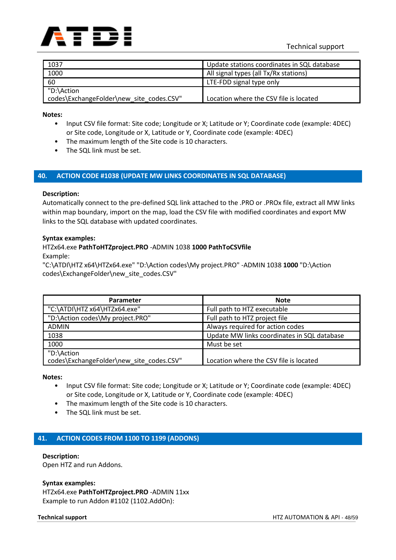

| 1037                                     | Update stations coordinates in SQL database |
|------------------------------------------|---------------------------------------------|
| 1000                                     | All signal types (all Tx/Rx stations)       |
| 60                                       | LTE-FDD signal type only                    |
| "D:\Action                               |                                             |
| codes\ExchangeFolder\new_site_codes.CSV" | Location where the CSV file is located      |

- Input CSV file format: Site code; Longitude or X; Latitude or Y; Coordinate code (example: 4DEC) or Site code, Longitude or X, Latitude or Y, Coordinate code (example: 4DEC)
- The maximum length of the Site code is 10 characters.
- The SQL link must be set.

### **40. ACTION CODE #1038 (UPDATE MW LINKS COORDINATES IN SQL DATABASE)**

#### **Description:**

Automatically connect to the pre-defined SQL link attached to the .PRO or .PROx file, extract all MW links within map boundary, import on the map, load the CSV file with modified coordinates and export MW links to the SQL database with updated coordinates.

#### **Syntax examples:**

## HTZx64.exe **PathToHTZproject.PRO** -ADMIN 1038 **1000 PathToCSVfile**

Example:

"C:\ATDI\HTZ x64\HTZx64.exe" "D:\Action codes\My project.PRO" -ADMIN 1038 **1000** "D:\Action codes\ExchangeFolder\new\_site\_codes.CSV"

| Parameter                                | <b>Note</b>                                 |
|------------------------------------------|---------------------------------------------|
| "C:\ATDI\HTZ x64\HTZx64.exe"             | Full path to HTZ executable                 |
| "D:\Action codes\My project.PRO"         | Full path to HTZ project file               |
| <b>ADMIN</b>                             | Always required for action codes            |
| 1038                                     | Update MW links coordinates in SQL database |
| 1000                                     | Must be set                                 |
| "D:\Action                               |                                             |
| codes\ExchangeFolder\new site codes.CSV" | Location where the CSV file is located      |

**Notes:**

- Input CSV file format: Site code; Longitude or X; Latitude or Y; Coordinate code (example: 4DEC) or Site code, Longitude or X, Latitude or Y, Coordinate code (example: 4DEC)
- The maximum length of the Site code is 10 characters.
- The SQL link must be set.

### **41. ACTION CODES FROM 1100 TO 1199 (ADDONS)**

#### **Description:**

Open HTZ and run Addons.

#### **Syntax examples:**

HTZx64.exe **PathToHTZproject.PRO** -ADMIN 11xx Example to run Addon #1102 (1102.AddOn):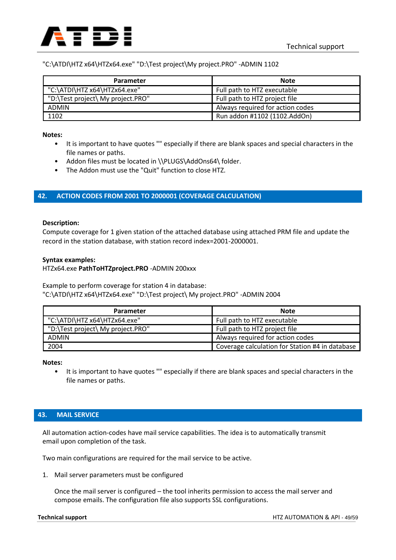

### "C:\ATDI\HTZ x64\HTZx64.exe" "D:\Test project\My project.PRO" -ADMIN 1102

| Parameter                         | <b>Note</b>                      |
|-----------------------------------|----------------------------------|
| "C:\ATDI\HTZ x64\HTZx64.exe"      | Full path to HTZ executable      |
| "D:\Test project\ My project.PRO" | Full path to HTZ project file    |
| <b>ADMIN</b>                      | Always required for action codes |
| 1102                              | Run addon #1102 (1102.AddOn)     |

#### **Notes:**

- It is important to have quotes "" especially if there are blank spaces and special characters in the file names or paths.
- Addon files must be located in \\PLUGS\AddOns64\ folder.
- The Addon must use the "Quit" function to close HTZ.

### **42. ACTION CODES FROM 2001 TO 2000001 (COVERAGE CALCULATION)**

#### **Description:**

Compute coverage for 1 given station of the attached database using attached PRM file and update the record in the station database, with station record index=2001-2000001.

#### **Syntax examples:**

#### HTZx64.exe **PathToHTZproject.PRO** -ADMIN 200xxx

Example to perform coverage for station 4 in database: "C:\ATDI\HTZ x64\HTZx64.exe" "D:\Test project\ My project.PRO" -ADMIN 2004

| Parameter                         | <b>Note</b>                                     |
|-----------------------------------|-------------------------------------------------|
| "C:\ATDI\HTZ x64\HTZx64.exe"      | Full path to HTZ executable                     |
| "D:\Test project\ My project.PRO" | Full path to HTZ project file                   |
| <b>ADMIN</b>                      | Always required for action codes                |
| 2004                              | Coverage calculation for Station #4 in database |

#### **Notes:**

• It is important to have quotes "" especially if there are blank spaces and special characters in the file names or paths.

### **43. MAIL SERVICE**

All automation action-codes have mail service capabilities. The idea is to automatically transmit email upon completion of the task.

Two main configurations are required for the mail service to be active.

1. Mail server parameters must be configured

Once the mail server is configured – the tool inherits permission to access the mail server and compose emails. The configuration file also supports SSL configurations.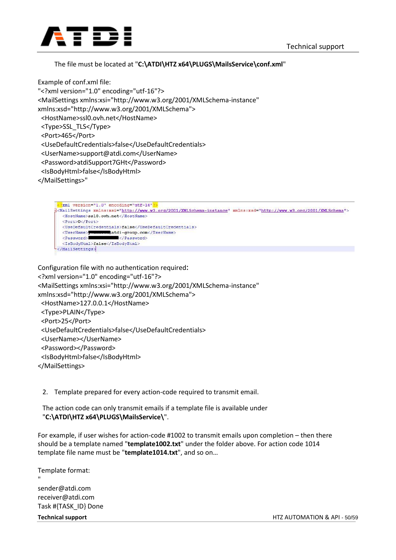

### The file must be located at "**C:\ATDI\HTZ x64\PLUGS\MailsService\conf.xml**"

Example of conf.xml file: "<?xml version="1.0" encoding="utf-16"?> <MailSettings xmlns:xsi="http://www.w3.org/2001/XMLSchema-instance" xmlns:xsd="http://www.w3.org/2001/XMLSchema"> <HostName>ssl0.ovh.net</HostName> <Type>SSL\_TLS</Type> <Port>465</Port> <UseDefaultCredentials>false</UseDefaultCredentials> <UserName>support@atdi.com</UserName> <Password>atdiSupport7GHt</Password> <IsBodyHtml>false</IsBodyHtml> </MailSettings>"

```
<?xml version="1.0" encoding="utf-16"?
3<MailSettings xmlns:xsi="http://www.w3.org/2001/XMLSchema-instance" xmlns:xsd="http://www.w3.org/2001/XMLSchema">
  <HostName>ss10.ovh.net</HostName>
   <Port>0</Port>
   <UseDefaultCredentials>false</UseDefaultCredentials>
   <UserName> Windowsdatdi-group.com</UserName>
                         </Password>
   <Password>
   <IsBodyHtml>false</IsBodyHtml>
\mathsf{L}_{\leq/\mathtt{MailSetting}}
```

```
Configuration file with no authentication required:
<?xml version="1.0" encoding="utf-16"?>
<MailSettings xmlns:xsi="http://www.w3.org/2001/XMLSchema-instance" 
xmlns:xsd="http://www.w3.org/2001/XMLSchema">
  <HostName>127.0.0.1</HostName>
  <Type>PLAIN</Type>
  <Port>25</Port>
  <UseDefaultCredentials>false</UseDefaultCredentials>
  <UserName></UserName>
  <Password></Password>
  <IsBodyHtml>false</IsBodyHtml>
</MailSettings>
```
### 2. Template prepared for every action-code required to transmit email.

The action code can only transmit emails if a template file is available under "**C:\ATDI\HTZ x64\PLUGS\MailsService\**".

For example, if user wishes for action-code #1002 to transmit emails upon completion – then there should be a template named "**template1002.txt**" under the folder above. For action code 1014 template file name must be "**template1014.txt**", and so on…

Template format:

" sender@atdi.com receiver@atdi.com Task #{TASK\_ID} Done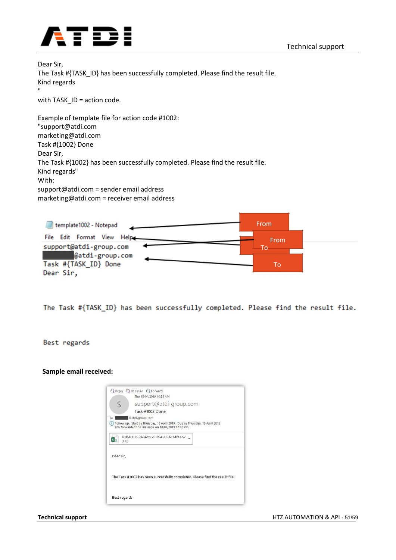



Dear Sir, The Task #{TASK\_ID} has been successfully completed. Please find the result file. Kind regards "

with TASK ID = action code.

Example of template file for action code #1002: "support@atdi.com marketing@atdi.com Task #{1002} Done Dear Sir, The Task #{1002} has been successfully completed. Please find the result file. Kind regards" With: support@atdi.com = sender email address marketing@atdi.com = receiver email address



The Task #{TASK\_ID} has been successfully completed. Please find the result file.

Best regards

**Sample email received:**

|             | Q Reply Q Reply All Q Forward<br>Thu 18/04/2019 10:33 AM                                                                              |
|-------------|---------------------------------------------------------------------------------------------------------------------------------------|
| $\varsigma$ | support@atdi-group.com                                                                                                                |
|             | Task #1002 Done                                                                                                                       |
| To          | @atdi-group.com                                                                                                                       |
|             | i) Follow up. Start by Thursday, 18 April 2019. Due by Thursday, 18 April 2019.<br>You forwarded this message on 18/04/2019 12:02 PM. |
| 3 KB        | DNM3112GDA942m-201904181032-MW.CSV                                                                                                    |
| Dear Sir,   |                                                                                                                                       |
|             | The Task #1002 has been successfully completed. Please find the result file.                                                          |
|             |                                                                                                                                       |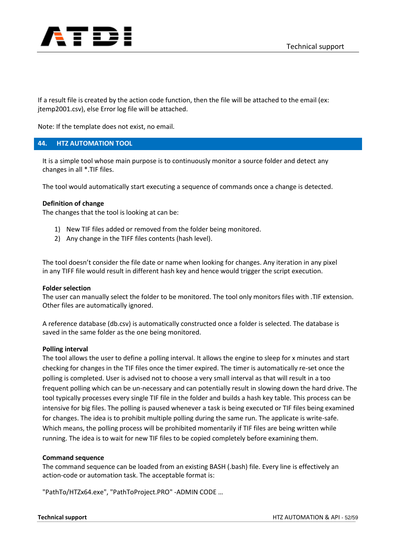

If a result file is created by the action code function, then the file will be attached to the email (ex: jtemp2001.csv), else Error log file will be attached.

Note: If the template does not exist, no email.

### **44. HTZ AUTOMATION TOOL**

It is a simple tool whose main purpose is to continuously monitor a source folder and detect any changes in all \*.TIF files.

The tool would automatically start executing a sequence of commands once a change is detected.

#### **Definition of change**

The changes that the tool is looking at can be:

- 1) New TIF files added or removed from the folder being monitored.
- 2) Any change in the TIFF files contents (hash level).

The tool doesn't consider the file date or name when looking for changes. Any iteration in any pixel in any TIFF file would result in different hash key and hence would trigger the script execution.

#### **Folder selection**

The user can manually select the folder to be monitored. The tool only monitors files with .TIF extension. Other files are automatically ignored.

A reference database (db.csv) is automatically constructed once a folder is selected. The database is saved in the same folder as the one being monitored.

#### **Polling interval**

The tool allows the user to define a polling interval. It allows the engine to sleep for x minutes and start checking for changes in the TIF files once the timer expired. The timer is automatically re-set once the polling is completed. User is advised not to choose a very small interval as that will result in a too frequent polling which can be un-necessary and can potentially result in slowing down the hard drive. The tool typically processes every single TIF file in the folder and builds a hash key table. This process can be intensive for big files. The polling is paused whenever a task is being executed or TIF files being examined for changes. The idea is to prohibit multiple polling during the same run. The applicate is write-safe. Which means, the polling process will be prohibited momentarily if TIF files are being written while running. The idea is to wait for new TIF files to be copied completely before examining them.

#### **Command sequence**

The command sequence can be loaded from an existing BASH (.bash) file. Every line is effectively an action-code or automation task. The acceptable format is:

"PathTo/HTZx64.exe", "PathToProject.PRO" -ADMIN CODE …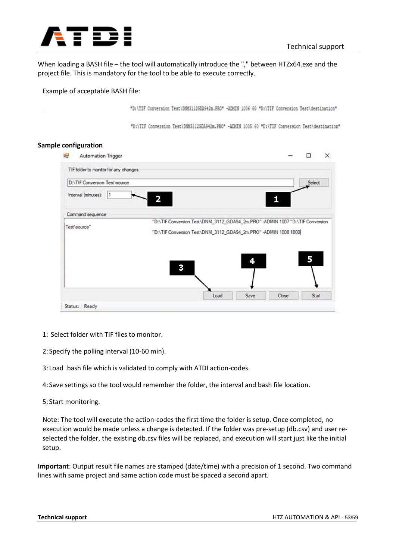

When loading a BASH file – the tool will automatically introduce the "," between HTZx64.exe and the project file. This is mandatory for the tool to be able to execute correctly.

#### Example of acceptable BASH file:

"D:\TIF Conversion Test\DNM31126DA942m.PRO" -ADMIN 1006 60 "D:\TIF Conversion Test\destination"

"D:\TIF Conversion Test\DOM3112GDA942m.PRO" -ADMIN 1005 60 "D:\TIF Conversion Test\destination"

#### **Sample configuration**

| a.<br><b>Automation Trigger</b>       |                                                                                                                                                  |      |       |        | $\times$ |
|---------------------------------------|--------------------------------------------------------------------------------------------------------------------------------------------------|------|-------|--------|----------|
| TIF folder to monitor for any changes |                                                                                                                                                  |      |       |        |          |
| <b>D:\TIF Conversion Test\source</b>  |                                                                                                                                                  |      |       | Select |          |
| Interval (minutes):<br>Ī1             |                                                                                                                                                  |      |       |        |          |
| Command sequence                      |                                                                                                                                                  |      |       |        |          |
| Test\source"                          | "D:\TIF Conversion Test\DNM_3112_GDA94_2m.PRO" -ADMIN 1007 "D:\TIF Conversion<br>"D:\TIF Conversion Test\DNM_3112_GDA94_2m.PRO" -ADMIN 1008 1000 |      |       |        |          |
|                                       |                                                                                                                                                  |      |       |        |          |
|                                       | 3                                                                                                                                                | 4    |       | 5      |          |
|                                       |                                                                                                                                                  |      |       |        |          |
|                                       |                                                                                                                                                  |      |       |        |          |
|                                       | Load                                                                                                                                             | Save | Close | Start  |          |

- 1: Select folder with TIF files to monitor.
- 2: Specify the polling interval (10-60 min).
- 3: Load .bash file which is validated to comply with ATDI action-codes.
- 4: Save settings so the tool would remember the folder, the interval and bash file location.
- 5: Start monitoring.

Note: The tool will execute the action-codes the first time the folder is setup. Once completed, no execution would be made unless a change is detected. If the folder was pre-setup (db.csv) and user reselected the folder, the existing db.csv files will be replaced, and execution will start just like the initial setup.

**Important**: Output result file names are stamped (date/time) with a precision of 1 second. Two command lines with same project and same action code must be spaced a second apart.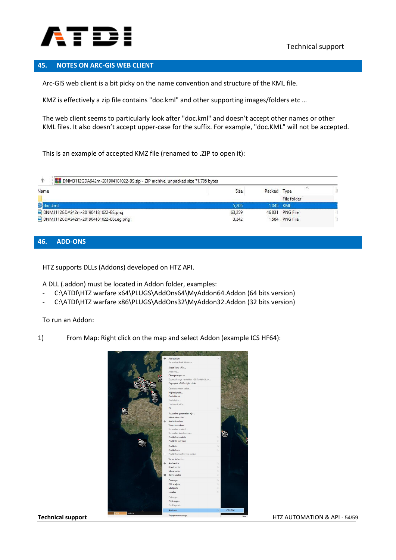

### **45. NOTES ON ARC-GIS WEB CLIENT**

Arc-GIS web client is a bit picky on the name convention and structure of the KML file.

KMZ is effectively a zip file contains "doc.kml" and other supporting images/folders etc …

The web client seems to particularly look after "doc.kml" and doesn't accept other names or other KML files. It also doesn't accept upper-case for the suffix. For example, "doc.KML" will not be accepted.

This is an example of accepted KMZ file (renamed to .ZIP to open it):

| Name                                  | Size   | Packed Type |                 |  |
|---------------------------------------|--------|-------------|-----------------|--|
| $\mathbf{u}$                          |        |             | File folder     |  |
| oc.kml                                | 5.205  | 1.045 KML   |                 |  |
| DNM3112GDA942m-201904181022-BS.png    | 63,259 | 46.831      | <b>PNG File</b> |  |
| DNM3112GDA942m-201904181022-BSLeg.png | 3,242  |             | 1.584 PNG File  |  |

### **46. ADD-ONS**

HTZ supports DLLs (Addons) developed on HTZ API.

A DLL (.addon) must be located in Addon folder, examples:

- C:\ATDI\HTZ warfare x64\PLUGS\AddOns64\MyAddon64.Addon (64 bits version)
- C:\ATDI\HTZ warfare x86\PLUGS\AddOns32\MyAddon32.Addon (32 bits version)

To run an Addon:

1) From Map: Right click on the map and select Addon (example ICS HF64):

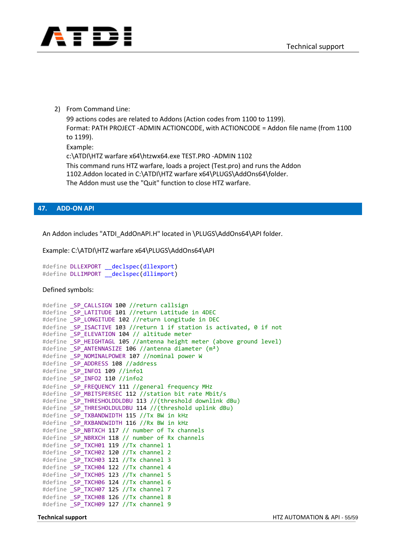

2) From Command Line:

99 actions codes are related to Addons (Action codes from 1100 to 1199). Format: PATH PROJECT -ADMIN ACTIONCODE, with ACTIONCODE = Addon file name (from 1100 to 1199).

Example:

c:\ATDI\HTZ warfare x64\htzwx64.exe TEST.PRO -ADMIN 1102 This command runs HTZ warfare, loads a project (Test.pro) and runs the Addon 1102.Addon located in C:\ATDI\HTZ warfare x64\PLUGS\AddOns64\folder. The Addon must use the "Quit" function to close HTZ warfare.

#### **47. ADD-ON API**

An Addon includes "ATDI\_AddOnAPI.H" located in \PLUGS\AddOns64\API folder.

Example: C:\ATDI\HTZ warfare x64\PLUGS\AddOns64\API

```
#define DLLEXPORT declspec(dllexport)
#define DLLIMPORT declspec(dllimport)
```
Defined symbols:

```
#define SP CALLSIGN 100 //return callsign
#define _SP_LATITUDE 101 //return Latitude in 4DEC
#define _SP_LONGITUDE 102 //return Longitude in DEC
#define SP ISACTIVE 103 //return 1 if station is activated, 0 if not
#define SP ELEVATION 104 // altitude meter
#define SP HEIGHTAGL 105 //antenna height meter (above ground level)
#define SP ANTENNASIZE 106 //antenna diameter (m<sup>2</sup>)
#define SP_NOMINALPOWER 107 //nominal power W
#define SP ADDRESS 108 //address
#define _SP_INFO1 109 //info1
#define SP INFO2 110 //info2
#define _SP_FREQUENCY 111 //general frequency MHz
#define SP_MBITSPERSEC 112 //station bit rate Mbit/s
#define _SP_THRESHOLDDLDBU 113 //(threshold downlink dBu)
#define _SP_THRESHOLDULDBU 114 //(threshold uplink dBu)
#define _SP_TXBANDWIDTH 115 //Tx BW in kHz
#define _SP_RXBANDWIDTH 116 //Rx BW in kHz
#define _SP_NBTXCH 117 // number of Tx channels
#define _SP_NBRXCH 118 // number of Rx channels
#define _SP_TXCH01 119 //Tx channel 1
#define _SP_TXCH02 120 //Tx channel 2
#define _SP_TXCH03 121 //Tx channel 3
#define _SP_TXCH04 122 //Tx channel 4
#define _SP_TXCH05 123 //Tx channel 5
#define _SP_TXCH06 124 //Tx channel 6
#define _SP_TXCH07 125 //Tx channel 7
#define _SP_TXCH08 126 //Tx channel 8
#define _SP_TXCH09 127 //Tx channel 9
```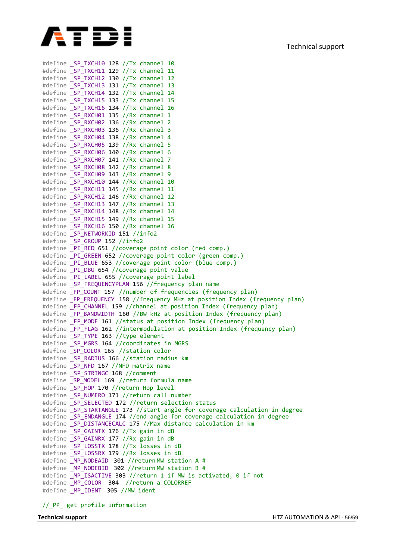

#define SP TXCH10 128 //Tx channel 10 #define SP\_TXCH11 129 //Tx channel 11 #define SP\_TXCH12 130 //Tx channel 12 #define \_SP\_TXCH13 131 //Tx channel 13 #define \_SP\_TXCH14 132 //Tx channel 14 #define \_SP\_TXCH15 133 //Tx channel 15 #define SP\_TXCH16 134 //Tx channel 16 #define SP\_RXCH01 135 //Rx channel 1 #define SP\_RXCH02 136 //Rx channel 2 #define SP\_RXCH03 136 //Rx channel 3 #define SP\_RXCH04 138 //Rx channel 4 #define \_SP\_RXCH05 139 //Rx channel 5 #define \_SP\_RXCH06 140 //Rx channel 6 #define SP RXCH07 141 //Rx channel 7 #define SP\_RXCH08 142 //Rx channel 8 #define SP RXCH09 143 //Rx channel 9 #define SP\_RXCH10 144 //Rx channel 10 #define \_SP\_RXCH11 145 //Rx channel 11 #define SP\_RXCH12 146 //Rx channel 12 #define \_SP\_RXCH13 147 //Rx channel 13 #define \_SP\_RXCH14 148 //Rx channel 14 #define \_SP\_RXCH15 149 //Rx channel 15 #define SP RXCH16 150 //Rx channel 16 #define SP\_NETWORKID 151 //info2 #define SP GROUP 152 //info2 #define PI\_RED 651 //coverage point color (red comp.) #define PI GREEN 652 //coverage point color (green comp.) #define PI\_BLUE 653 //coverage point color (blue comp.) #define \_PI\_DBU 654 //coverage point value #define \_PI\_LABEL 655 //coverage point label #define \_SP\_FREQUENCYPLAN 156 //frequency plan name #define \_FP\_COUNT 157 //number of frequencies (frequency plan) #define \_FP\_FREQUENCY 158 //frequency MHz at position Index (frequency plan) #define \_FP\_CHANNEL 159 //channel at position Index (frequency plan) #define \_FP\_BANDWIDTH 160 //BW kHz at position Index (frequency plan) #define \_FP\_MODE 161 //status at position Index (frequency plan) #define \_FP\_FLAG 162 //intermodulation at position Index (frequency plan) #define \_SP\_TYPE 163 //type element #define \_SP\_MGRS 164 //coordinates in MGRS #define \_SP\_COLOR 165 //station color #define \_SP\_RADIUS 166 //station radius km #define \_SP\_NFD 167 //NFD matrix name #define \_SP\_STRINGC 168 //comment<br>#define \_SP\_MODEL 169 //return fo SP MODEL 169 //return formula name #define \_SP\_HOP 170 //return Hop level #define \_SP\_NUMERO 171 //return call number #define \_SP\_SELECTED 172 //return selection status<br>#define \_SP\_STARTANGLE 173 //start angle for cover  $\overline{\rule{0pt}{0pt}}$ STARTANGLE 173 //start angle for coverage calculation in degree #define \_SP\_ENDANGLE 174 //end angle for coverage calculation in degree #define SP DISTANCECALC 175 //Max distance calculation in km #define \_SP\_GAINTX 176 //Tx gain in dB #define \_SP\_GAINRX 177 //Rx gain in dB #define SP LOSSTX 178 //Tx losses in dB #define SP LOSSRX 179 //Rx losses in dB #define \_MP\_NODEAID 301 //return MW station A # #define MP\_NODEBID 302 //return MW station B # #define MP ISACTIVE 303 //return 1 if MW is activated, 0 if not #define \_MP\_COLOR 304 //return a COLORREF #define \_MP\_IDENT 305 //MW ident

//\_PP\_ get profile information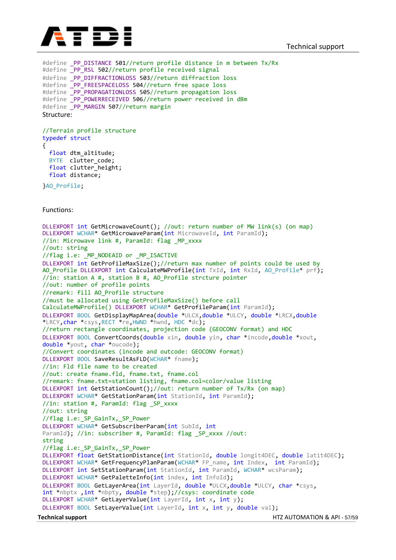

**Technical support** HTZ AUTOMATION & API - 57/59 #define PP DISTANCE 501//return profile distance in m between Tx/Rx #define PP\_RSL 502//return profile received signal #define \_PP\_DIFFRACTIONLOSS 503//return diffraction loss<br>#define PP FREESPACELOSS 504//return free space loss PP\_FREESPACELOSS 504//return free space loss #define \_PP\_PROPAGATIONLOSS 505//return propagation loss #define PP POWERRECEIVED 506//return power received in dBm #define PP\_MARGIN 507//return margin Structure: //Terrain profile structure typedef struct { float dtm\_altitude; BYTE clutter\_code; float clutter height; float distance; }AO\_Profile; Functions: DLLEXPORT int GetMicrowaveCount(); //out: return number of MW link(s) (on map) DLLEXPORT WCHAR\* GetMicrowaveParam(int MicrowaveId, int ParamId); //in: Microwave link #, ParamId: flag \_MP\_xxxx //out: string //flag i.e: MP NODEAID or MP ISACTIVE DLLEXPORT int GetProfileMaxSize();//return max number of points could be used by AO Profile DLLEXPORT int CalculateMWProfile(int TxId, int RxId, AO Profile\* prf); //in: station A #, station B #, AO Profile strcture pointer //out: number of profile points //remark: fill AO\_Profile structure //must be allocated using GetProfileMaxSize() before call CalculateMWProfile() DLLEXPORT WCHAR\* GetProfileParam(int ParamId); DLLEXPORT BOOL GetDisplayMapArea(double \*ULCX,double \*ULCY, double \*LRCX,double \*LRCY,char \*csys,RECT \*re,HWND \*hwnd, HDC \*dc); //return rectangle coordinates, projection code (GEOCONV format) and HDC DLLEXPORT BOOL ConvertCoords(double xin, double yin, char \*incode,double \*xout, double \*yout, char \*oucode); //Convert coordinates (incode and outcode: GEOCONV format) DLLEXPORT BOOL SaveResultAsFLD(WCHAR\* fname); //in: Fld file name to be created //out: create fname.fld, fname.txt, fname.col //remark: fname.txt=station listing, fname.col=color/value listing DLLEXPORT int GetStationCount();//out: return number of Tx/Rx (on map) DLLEXPORT WCHAR\* GetStationParam(int StationId, int ParamId); //in: station #, ParamId: flag \_SP\_xxxx //out: string //flag i.e: SP GainTx, SP Power DLLEXPORT WCHAR\* GetSubscriberParam(int SubId, int ParamId); //in: subscriber #, ParamId: flag SP xxxx //out: string //flag i.e: SP GainTx, SP Power DLLEXPORT float GetStationDistance(int StationId, double longit4DEC, double latit4DEC); DLLEXPORT WCHAR\* GetFrequencyPlanParam(WCHAR\* FP\_name, int Index, int ParamId); DLLEXPORT int SetStationParam(int StationId, int ParamId, WCHAR\* wcsParam); DLLEXPORT WCHAR\* GetPaletteInfo(int index, int InfoId); DLLEXPORT BOOL GetLayerArea(int LayerId, double \*ULCX, double \*ULCY, char \*csys, int \*nbptx ,int \*nbpty, double \*step);//csys: coordinate code DLLEXPORT WCHAR\* GetLayerValue(int LayerId, int x, int y); DLLEXPORT BOOL SetLayerValue(int LayerId, int x, int y, double val);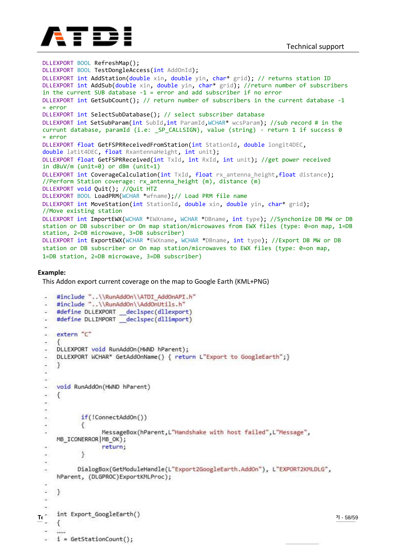

```
DLLEXPORT BOOL RefreshMap();
DLLEXPORT BOOL TestDongleAccess(int AddOnId);
DLLEXPORT int AddStation(double xin, double yin, char* grid); // returns station ID
DLLEXPORT int AddSub(double xin, double yin, char* grid); //return number of subscribers
in the current SUB database -1 = error and add subscriber if no error
DLLEXPORT int GetSubCount(); // return number of subscribers in the current database -1 
= error
DLLEXPORT int SelectSubDatabase(); // select subscriber database
DLLEXPORT int SetSubParam(int SubId,int ParamId,WCHAR* wcsParam); //sub record # in the
currunt database, paramId (i.e: _SP_CALLSIGN), value (string) - return 1 if success 0 
= error
DLLEXPORT float GetFSPRReceivedFromStation(int StationId, double longit4DEC,
double latit4DEC, float RxantennaHeight, int unit);
DLLEXPORT float GetFSPRReceived(int TxId, int RxId, int unit); //get power received 
in dBuV/m (unit=0) or dBm (unit=1)
DLLEXPORT int CoverageCalculation(int TxId, float rx antenna height,float distance);
//Perform Station coverage: rx antenna height (m), distance \overline{(m)}DLLEXPORT void Quit(); //Quit HTZ
DLLEXPORT BOOL LoadPRM(WCHAR *wfname);// Load PRM file name
DLLEXPORT int MoveStation(int StationId, double xin, double yin, char* grid);
//Move existing station
DLLEXPORT int ImportEWX(WCHAR *EWXname, WCHAR *DBname, int type); //Synchonize DB MW or DB
station or DB subscriber or On map station/microwaves from EWX files (type: 0=on map, 1=DB
station, 2=DB microwave, 3=DB subscriber)
DLLEXPORT int ExportEWX(WCHAR *EWXname, WCHAR *DBname, int type); //Export DB MW or DB
station or DB subscriber or On map station/microwaves to EWX files (type: 0=on map,
1=DB station, 2=DB microwave, 3=DB subscriber)
```
#### **Example:**

This Addon export current coverage on the map to Google Earth (KML+PNG)

```
#include "..\\RunAddOn\\ATDI AddOnAPI.h"
     #include "..\\RunAddOn\\AddOnUtils.h"
     #define DLLEXPORT declspec(dllexport)
  - #define DLLIMPORT declspec(dllimport)
  nist.
  - extern "C"
      DLLEXPORT void RunAddOn(HWND hParent);
      DLLEXPORT WCHAR* GetAddOnName() { return L"Export to GoogleEarth"; }
      ¥
  Σ
  ÷.
  ÷.
     void RunAddOn(HWND hParent)
  \blacksquare\left\{ \right.\overline{\phantom{a}}÷
             if(!ConnectAddOn())
  ÷
              €
  L,
                    MessageBox(hParent, L"Handshake with host failed", L"Message",
      MB_ICONERROR | MB_OK);
  \omegareturn;
              \mathcal{P}\ddot{\phantom{a}}×
             DialogBox(GetModuleHandle(L"Export2GoogleEarth.AddOn"), L"EXPORT2KMLDLG",
      hParent, (DLGPROC)ExportKMLProc);
  i.
  Ē.
      \mathcal{E}S.
Te int Export_GoogleEarth()<br>- {<br>\frac{1}{2}COLLECT
      .....
     i = GetStationCount();
```